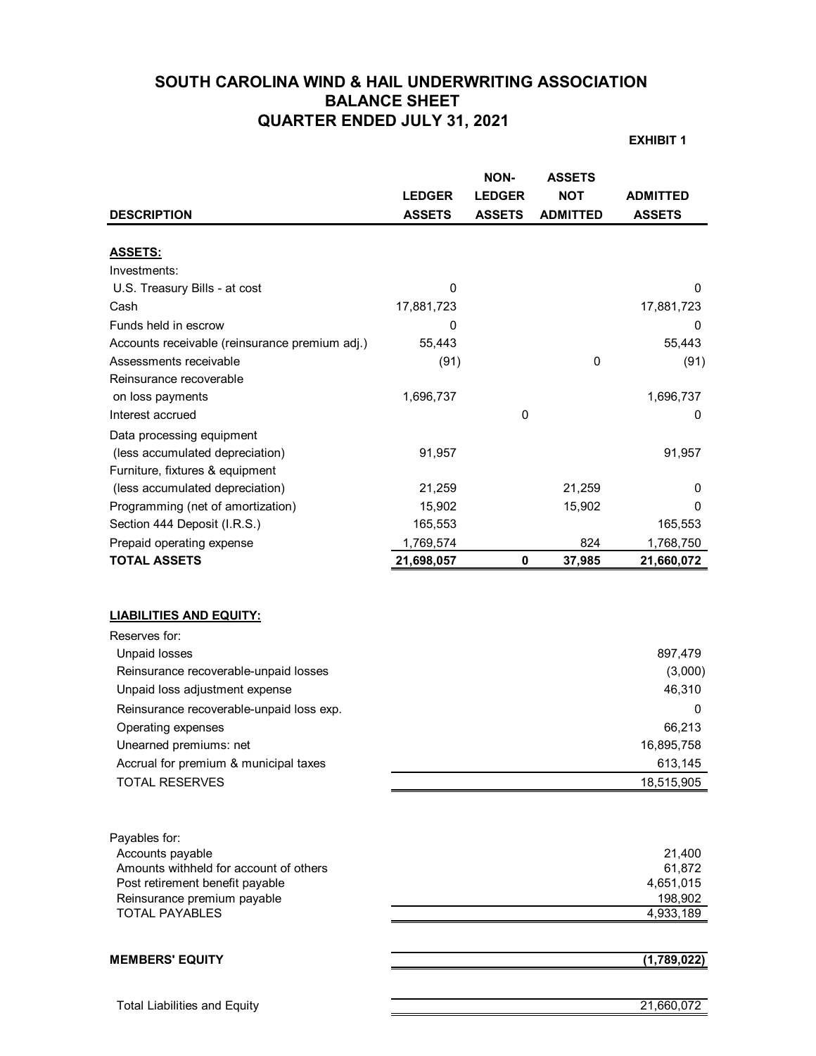## **SOUTH CAROLINA WIND & HAIL UNDERWRITING ASSOCIATION BALANCE SHEET QUARTER ENDED JULY 31, 2021**

**EXHIBIT 1**

| <b>DESCRIPTION</b>                                                                                                                                                                                                                                                                                               | <b>LEDGER</b><br><b>ASSETS</b> | NON-<br><b>LEDGER</b><br><b>ASSETS</b> | <b>ASSETS</b><br><b>NOT</b><br><b>ADMITTED</b> | <b>ADMITTED</b><br><b>ASSETS</b>                                                   |
|------------------------------------------------------------------------------------------------------------------------------------------------------------------------------------------------------------------------------------------------------------------------------------------------------------------|--------------------------------|----------------------------------------|------------------------------------------------|------------------------------------------------------------------------------------|
|                                                                                                                                                                                                                                                                                                                  |                                |                                        |                                                |                                                                                    |
| <b>ASSETS:</b>                                                                                                                                                                                                                                                                                                   |                                |                                        |                                                |                                                                                    |
| Investments:                                                                                                                                                                                                                                                                                                     |                                |                                        |                                                |                                                                                    |
| U.S. Treasury Bills - at cost                                                                                                                                                                                                                                                                                    | 0                              |                                        |                                                | 0                                                                                  |
| Cash                                                                                                                                                                                                                                                                                                             | 17,881,723                     |                                        |                                                | 17,881,723                                                                         |
| Funds held in escrow                                                                                                                                                                                                                                                                                             | 0                              |                                        |                                                | 0                                                                                  |
| Accounts receivable (reinsurance premium adj.)                                                                                                                                                                                                                                                                   | 55,443                         |                                        |                                                | 55,443                                                                             |
| Assessments receivable                                                                                                                                                                                                                                                                                           | (91)                           |                                        | 0                                              | (91)                                                                               |
| Reinsurance recoverable                                                                                                                                                                                                                                                                                          |                                |                                        |                                                |                                                                                    |
| on loss payments                                                                                                                                                                                                                                                                                                 | 1,696,737                      |                                        |                                                | 1,696,737                                                                          |
| Interest accrued                                                                                                                                                                                                                                                                                                 |                                | 0                                      |                                                | 0                                                                                  |
| Data processing equipment                                                                                                                                                                                                                                                                                        |                                |                                        |                                                |                                                                                    |
| (less accumulated depreciation)                                                                                                                                                                                                                                                                                  | 91,957                         |                                        |                                                | 91,957                                                                             |
| Furniture, fixtures & equipment                                                                                                                                                                                                                                                                                  |                                |                                        |                                                |                                                                                    |
| (less accumulated depreciation)                                                                                                                                                                                                                                                                                  | 21,259                         |                                        | 21,259                                         | 0                                                                                  |
| Programming (net of amortization)                                                                                                                                                                                                                                                                                | 15,902                         |                                        | 15,902                                         | 0                                                                                  |
| Section 444 Deposit (I.R.S.)                                                                                                                                                                                                                                                                                     | 165,553                        |                                        |                                                | 165,553                                                                            |
| Prepaid operating expense                                                                                                                                                                                                                                                                                        | 1,769,574                      |                                        | 824                                            | 1,768,750                                                                          |
| <b>TOTAL ASSETS</b>                                                                                                                                                                                                                                                                                              | 21,698,057                     | $\mathbf 0$                            | 37,985                                         | 21,660,072                                                                         |
| <b>LIABILITIES AND EQUITY:</b><br>Reserves for:<br><b>Unpaid losses</b><br>Reinsurance recoverable-unpaid losses<br>Unpaid loss adjustment expense<br>Reinsurance recoverable-unpaid loss exp.<br>Operating expenses<br>Unearned premiums: net<br>Accrual for premium & municipal taxes<br><b>TOTAL RESERVES</b> |                                |                                        |                                                | 897,479<br>(3,000)<br>46,310<br>0<br>66,213<br>16,895,758<br>613,145<br>18,515,905 |
| Payables for:<br>Accounts payable<br>Amounts withheld for account of others<br>Post retirement benefit payable<br>Reinsurance premium payable<br><b>TOTAL PAYABLES</b>                                                                                                                                           |                                |                                        |                                                | 21,400<br>61,872<br>4,651,015<br>198,902<br>4,933,189                              |
| <b>MEMBERS' EQUITY</b>                                                                                                                                                                                                                                                                                           |                                |                                        |                                                | (1,789,022)                                                                        |
| <b>Total Liabilities and Equity</b>                                                                                                                                                                                                                                                                              |                                |                                        |                                                | 21,660,072                                                                         |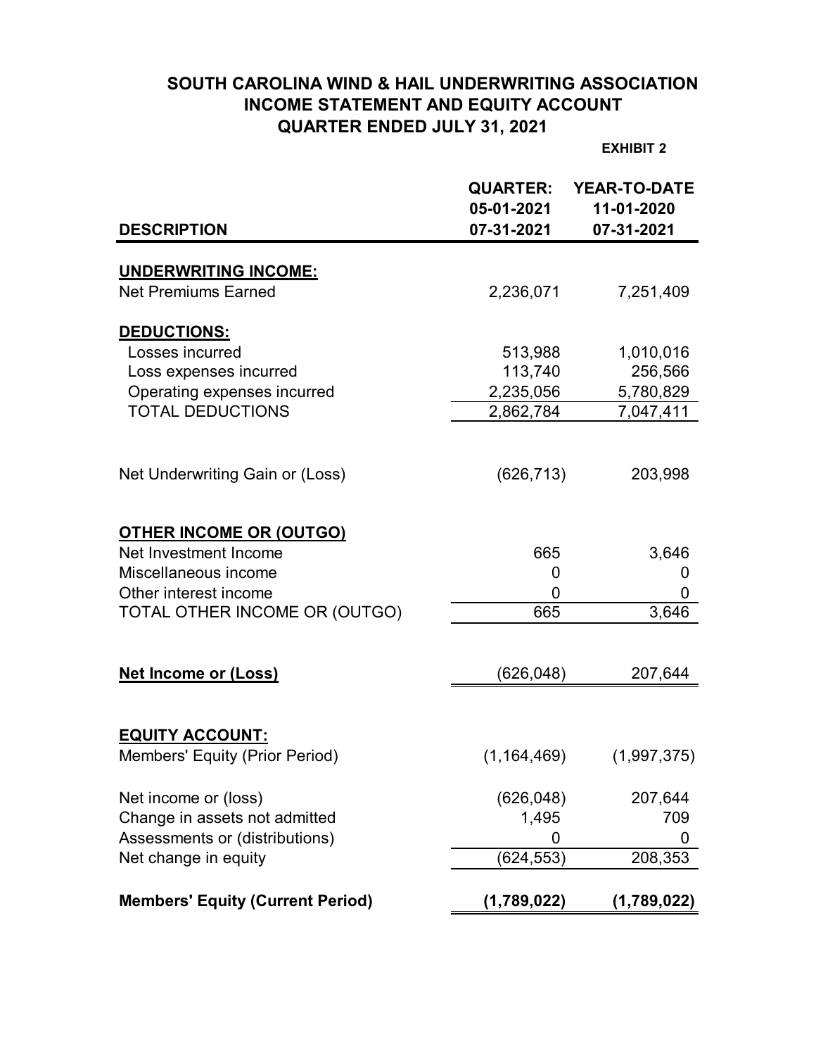# **SOUTH CAROLINA WIND & HAIL UNDERWRITING ASSOCIATION INCOME STATEMENT AND EQUITY ACCOUNT QUARTER ENDED JULY 31, 2021**

**EXHIBIT 2**

| <b>DESCRIPTION</b>                      | <b>QUARTER:</b><br>05-01-2021<br>07-31-2021 | <b>YEAR-TO-DATE</b><br>11-01-2020<br>07-31-2021 |
|-----------------------------------------|---------------------------------------------|-------------------------------------------------|
|                                         |                                             |                                                 |
| <b>UNDERWRITING INCOME:</b>             |                                             |                                                 |
| <b>Net Premiums Earned</b>              | 2,236,071                                   | 7,251,409                                       |
| DEDUCTIONS:                             |                                             |                                                 |
| Losses incurred                         | 513,988                                     | 1,010,016                                       |
| Loss expenses incurred                  | 113,740                                     | 256,566                                         |
| Operating expenses incurred             | 2,235,056                                   | 5,780,829                                       |
| <b>TOTAL DEDUCTIONS</b>                 | 2,862,784                                   | 7,047,411                                       |
|                                         |                                             |                                                 |
| Net Underwriting Gain or (Loss)         | (626, 713)                                  | 203,998                                         |
| <b>OTHER INCOME OR (OUTGO)</b>          |                                             |                                                 |
| Net Investment Income                   | 665                                         | 3,646                                           |
| Miscellaneous income                    | 0                                           | 0                                               |
| Other interest income                   | 0                                           | 0                                               |
| TOTAL OTHER INCOME OR (OUTGO)           | 665                                         | 3,646                                           |
|                                         |                                             |                                                 |
| <b>Net Income or (Loss)</b>             | (626, 048)                                  | 207,644                                         |
|                                         |                                             |                                                 |
| <b>EQUITY ACCOUNT:</b>                  |                                             |                                                 |
| Members' Equity (Prior Period)          | (1,164,469)                                 | (1,997,375)                                     |
| Net income or (loss)                    | (626, 048)                                  | 207,644                                         |
| Change in assets not admitted           | 1,495                                       | 709                                             |
| Assessments or (distributions)          | 0                                           | 0                                               |
| Net change in equity                    | (624, 553)                                  | 208,353                                         |
| <b>Members' Equity (Current Period)</b> | (1,789,022)                                 | (1,789,022)                                     |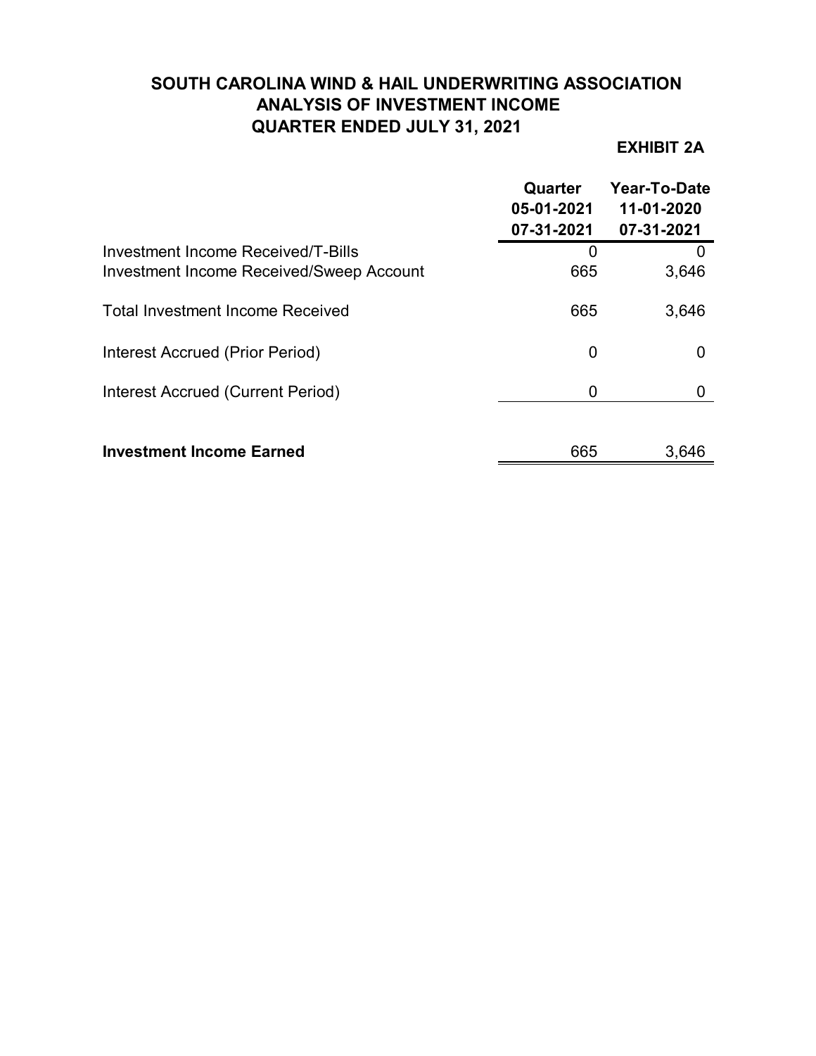# **SOUTH CAROLINA WIND & HAIL UNDERWRITING ASSOCIATION ANALYSIS OF INVESTMENT INCOME QUARTER ENDED JULY 31, 2021**

# **EXHIBIT 2A**

|                                                                                       | Quarter<br>05-01-2021<br>07-31-2021 | Year-To-Date<br>11-01-2020<br>07-31-2021 |
|---------------------------------------------------------------------------------------|-------------------------------------|------------------------------------------|
| Investment Income Received/T-Bills<br><b>Investment Income Received/Sweep Account</b> | 0<br>665                            | 3,646                                    |
| <b>Total Investment Income Received</b>                                               | 665                                 | 3,646                                    |
| Interest Accrued (Prior Period)                                                       | 0                                   |                                          |
| Interest Accrued (Current Period)                                                     | 0                                   |                                          |
| <b>Investment Income Earned</b>                                                       | 665                                 | 3,646                                    |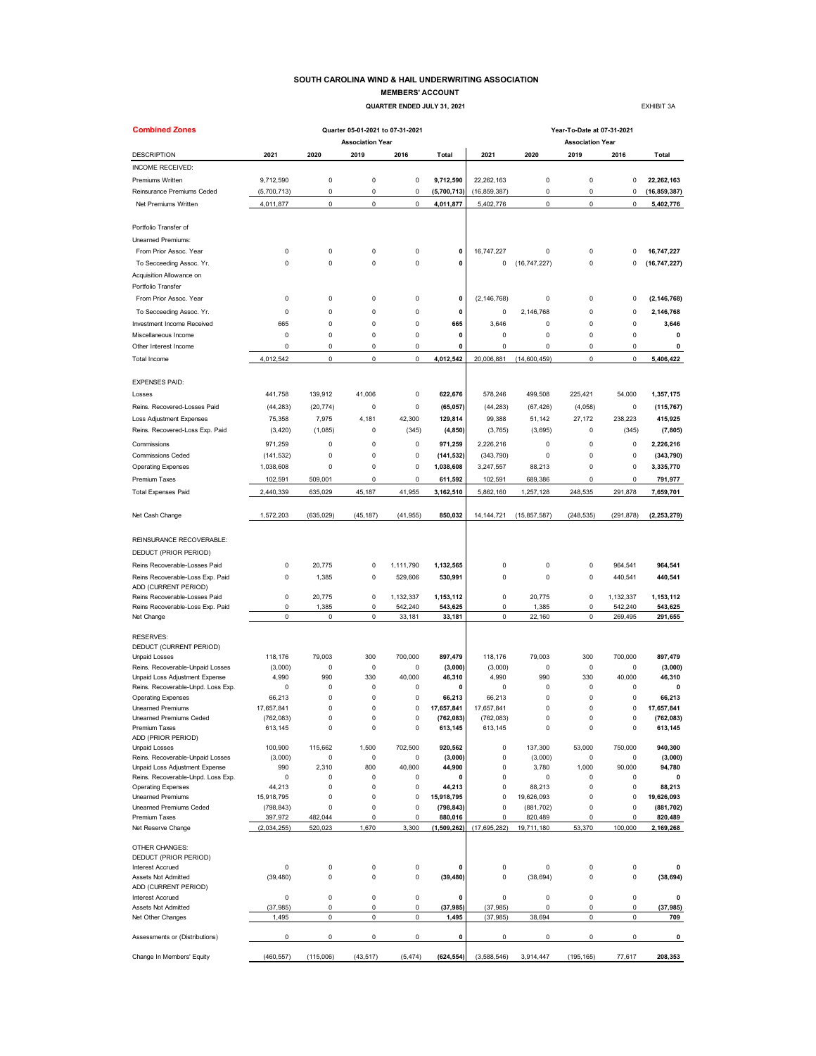### **SOUTH CAROLINA WIND & HAIL UNDERWRITING ASSOCIATION**

**MEMBERS' ACCOUNT QUARTER ENDED JULY 31, 2021 EXHIBIT 3A** 

| <b>Combined Zones</b>                                                |                       |                    | Quarter 05-01-2021 to 07-31-2021 |                   |                       | Year-To-Date at 07-31-2021 |                       |                         |                    |                       |  |  |  |
|----------------------------------------------------------------------|-----------------------|--------------------|----------------------------------|-------------------|-----------------------|----------------------------|-----------------------|-------------------------|--------------------|-----------------------|--|--|--|
|                                                                      |                       |                    | <b>Association Year</b>          |                   |                       |                            |                       | <b>Association Year</b> |                    |                       |  |  |  |
| <b>DESCRIPTION</b>                                                   | 2021                  | 2020               | 2019                             | 2016              | Total                 | 2021                       | 2020                  | 2019                    | 2016               | Total                 |  |  |  |
| INCOME RECEIVED:                                                     |                       |                    |                                  |                   |                       |                            |                       |                         |                    |                       |  |  |  |
| Premiums Written                                                     | 9,712,590             | $\pmb{0}$          | 0                                | $\mathbf 0$       | 9,712,590             | 22,262,163                 | 0                     | 0                       | $\pmb{0}$          | 22,262,163            |  |  |  |
| Reinsurance Premiums Ceded                                           | (5,700,713)           | 0                  | 0                                | 0                 | (5,700,713)           | (16, 859, 387)             | 0                     | 0                       | 0                  | (16, 859, 387)        |  |  |  |
| Net Premiums Written                                                 | 4,011,877             | $\mathbf 0$        | 0                                | $\mathbf 0$       | 4,011,877             | 5,402,776                  | 0                     | $\mathbf 0$             | $\mathbf 0$        | 5,402,776             |  |  |  |
| Portfolio Transfer of                                                |                       |                    |                                  |                   |                       |                            |                       |                         |                    |                       |  |  |  |
| Unearned Premiums:                                                   |                       |                    |                                  |                   |                       |                            |                       |                         |                    |                       |  |  |  |
| From Prior Assoc. Year                                               | 0                     | 0                  | 0                                | 0                 | 0                     | 16,747,227                 | 0                     | 0                       | 0                  | 16,747,227            |  |  |  |
| To Secceeding Assoc. Yr.                                             | 0                     | 0                  | 0                                | 0                 | 0                     | 0                          | (16, 747, 227)        | 0                       | 0                  | (16, 747, 227)        |  |  |  |
| Acquisition Allowance on                                             |                       |                    |                                  |                   |                       |                            |                       |                         |                    |                       |  |  |  |
| Portfolio Transfer                                                   |                       |                    |                                  |                   |                       |                            |                       |                         |                    |                       |  |  |  |
| From Prior Assoc. Year                                               | 0                     | $\pmb{0}$          | 0                                | $\mathbf 0$       | 0                     | (2, 146, 768)              | 0                     | $\mathbf 0$             | 0                  | (2, 146, 768)         |  |  |  |
| To Secceeding Assoc. Yr.                                             | 0                     | $\pmb{0}$          | 0                                | $\mathbf 0$       | 0                     | 0                          | 2.146.768             | 0                       | 0                  | 2,146,768             |  |  |  |
| Investment Income Received                                           | 665                   | 0                  | 0                                | 0                 | 665                   | 3,646                      | 0                     | 0                       | 0                  | 3,646                 |  |  |  |
| Miscellaneous Income                                                 | 0                     | 0                  | 0                                | 0                 | 0                     | 0                          | 0                     | 0                       | 0                  | 0                     |  |  |  |
| Other Interest Income                                                | 0                     | $\mathbf 0$        | 0                                | $\mathbf 0$       | 0                     | $\mathsf 0$                | $\mathsf 0$           | $\mathbf 0$             | $\mathbf 0$        | 0                     |  |  |  |
| Total Income                                                         | 4,012,542             | $\mathbf 0$        | $\mathbf 0$                      | $\pmb{0}$         | 4,012,542             | 20,006,881                 | (14,600,459)          | $\mathbf 0$             | $\mathbf 0$        | 5,406,422             |  |  |  |
| <b>EXPENSES PAID:</b>                                                |                       |                    |                                  |                   |                       |                            |                       |                         |                    |                       |  |  |  |
| Losses                                                               | 441,758               | 139,912            | 41,006                           | 0                 | 622,676               | 578.246                    | 499,508               | 225,421                 | 54,000             | 1,357,175             |  |  |  |
| Reins. Recovered-Losses Paid                                         | (44, 283)             | (20, 774)          | 0                                | $\mathbf 0$       | (65, 057)             | (44, 283)                  | (67, 426)             | (4,058)                 | 0                  | (115, 767)            |  |  |  |
| <b>Loss Adjustment Expenses</b>                                      | 75,358                | 7,975              | 4,181                            | 42,300            | 129,814               | 99,388                     | 51,142                | 27,172                  | 238,223            | 415,925               |  |  |  |
| Reins. Recovered-Loss Exp. Paid                                      | (3, 420)              | (1,085)            | 0                                | (345)             | (4, 850)              | (3,765)                    | (3,695)               | 0                       | (345)              | (7, 805)              |  |  |  |
| Commissions                                                          | 971,259               | 0                  | 0                                | $\mathbf 0$       | 971,259               | 2,226,216                  | 0                     | 0                       | 0                  | 2,226,216             |  |  |  |
| <b>Commissions Ceded</b>                                             | (141, 532)            | 0                  | 0                                | 0                 | (141, 532)            | (343, 790)                 | 0                     | 0                       | 0                  | (343, 790)            |  |  |  |
| <b>Operating Expenses</b>                                            | 1,038,608             | 0                  | 0                                | 0                 | 1,038,608             | 3,247,557                  | 88,213                | 0                       | 0                  | 3,335,770             |  |  |  |
| Premium Taxes                                                        | 102,591               | 509,001            | 0                                | 0                 | 611,592               | 102,591                    | 689,386               | 0                       | 0                  | 791,977               |  |  |  |
| <b>Total Expenses Paid</b>                                           | 2,440,339             | 635,029            | 45,187                           | 41,955            | 3,162,510             | 5,862,160                  | 1,257,128             | 248.535                 | 291,878            | 7,659,701             |  |  |  |
|                                                                      |                       |                    |                                  |                   |                       |                            |                       |                         |                    |                       |  |  |  |
| Net Cash Change                                                      | 1,572,203             | (635, 029)         | (45, 187)                        | (41, 955)         | 850,032               | 14, 144, 721               | (15, 857, 587)        | (248, 535)              | (291, 878)         | (2, 253, 279)         |  |  |  |
| REINSURANCE RECOVERABLE:                                             |                       |                    |                                  |                   |                       |                            |                       |                         |                    |                       |  |  |  |
| DEDUCT (PRIOR PERIOD)                                                |                       |                    |                                  |                   |                       |                            |                       |                         |                    |                       |  |  |  |
| Reins Recoverable-Losses Paid                                        | 0                     | 20,775             | 0                                | 1,111,790         | 1,132,565             | 0                          | 0                     | 0                       | 964,541            | 964,541               |  |  |  |
| Reins Recoverable-Loss Exp. Paid                                     | 0                     | 1,385              | 0                                | 529,606           | 530,991               | 0                          | 0                     | 0                       | 440,541            | 440,541               |  |  |  |
| ADD (CURRENT PERIOD)                                                 |                       |                    |                                  |                   |                       |                            |                       |                         |                    |                       |  |  |  |
| Reins Recoverable-Losses Paid                                        | 0                     | 20,775             | 0                                | 1,132,337         | 1,153,112             | 0                          | 20,775                | 0                       | 1,132,337          | 1,153,112             |  |  |  |
| Reins Recoverable-Loss Exp. Paid<br>Net Change                       | 0<br>0                | 1,385<br>$\pmb{0}$ | 0<br>0                           | 542,240<br>33,181 | 543,625<br>33,181     | $\mathsf 0$<br>$\mathsf 0$ | 1,385<br>22,160       | 0<br>$\pmb{0}$          | 542,240<br>269,495 | 543,625<br>291,655    |  |  |  |
|                                                                      |                       |                    |                                  |                   |                       |                            |                       |                         |                    |                       |  |  |  |
| <b>RESERVES:</b>                                                     |                       |                    |                                  |                   |                       |                            |                       |                         |                    |                       |  |  |  |
| DEDUCT (CURRENT PERIOD)                                              |                       |                    |                                  |                   |                       |                            |                       |                         |                    |                       |  |  |  |
| <b>Unpaid Losses</b>                                                 | 118,176               | 79,003             | 300                              | 700,000           | 897,479               | 118,176                    | 79,003                | 300                     | 700,000            | 897,479               |  |  |  |
| Reins. Recoverable-Unpaid Losses                                     | (3,000)               | 0                  | 0                                | 0                 | (3,000)               | (3,000)                    | 0                     | 0                       | 0                  | (3,000)               |  |  |  |
| Unpaid Loss Adjustment Expense<br>Reins. Recoverable-Unpd. Loss Exp. | 4,990<br>0            | 990<br>0           | 330<br>0                         | 40,000<br>0       | 46,310<br>0           | 4,990<br>0                 | 990<br>0              | 330<br>0                | 40.000<br>0        | 46,310<br>0           |  |  |  |
| <b>Operating Expenses</b>                                            | 66,213                | 0                  | $\Omega$                         | 0                 | 66,213                | 66,213                     | 0                     | $\Omega$                | 0                  | 66,213                |  |  |  |
| <b>Unearned Premiums</b>                                             | 17,657,841            | $\Omega$           | 0                                | 0                 | 17,657,841            | 17,657,841                 | 0                     | $\Omega$                | 0                  | 17,657,841            |  |  |  |
| Unearned Premiums Ceded                                              | (762, 083)            | $\Omega$           | $\Omega$                         | $\Omega$          | (762.083)             | (762, 083)                 | 0                     | $\Omega$                | $\Omega$           | (762, 083)            |  |  |  |
| Premium Taxes                                                        | 613,145               | 0                  | 0                                | $\pmb{0}$         | 613,145               | 613,145                    | 0                     | $\pmb{0}$               | $\mathsf 0$        | 613,145               |  |  |  |
| ADD (PRIOR PERIOD)<br><b>Unpaid Losses</b>                           | 100,900               | 115,662            | 1,500                            | 702,500           | 920,562               | $\pmb{0}$                  | 137,300               | 53,000                  | 750,000            | 940,300               |  |  |  |
| Reins. Recoverable-Unpaid Losses                                     | (3,000)               | 0                  | 0                                | 0                 | (3,000)               | 0                          | (3,000)               | 0                       | 0                  | (3,000)               |  |  |  |
| Unpaid Loss Adjustment Expense                                       | 990                   | 2,310              | 800                              | 40,800            | 44,900                | 0                          | 3,780                 | 1,000                   | 90,000             | 94,780                |  |  |  |
| Reins. Recoverable-Unpd. Loss Exp.                                   | 0                     | 0                  | 0                                | 0                 | 0                     | 0                          | 0                     | 0                       | $\pmb{0}$          | 0                     |  |  |  |
| <b>Operating Expenses</b>                                            | 44,213                | 0                  | 0                                | 0                 | 44,213                | $\pmb{0}$                  | 88,213                | 0                       | $\mathsf 0$        | 88,213                |  |  |  |
| <b>Unearned Premiums</b>                                             | 15,918,795            | $\pmb{0}$          | 0                                | $\pmb{0}$         | 15,918,795            | $\pmb{0}$                  | 19,626,093            | $\mathbf 0$             | $\pmb{0}$          | 19,626,093            |  |  |  |
| Unearned Premiums Ceded<br>Premium Taxes                             | (798, 843)<br>397,972 | 0<br>482,044       | 0<br>0                           | 0<br>0            | (798, 843)<br>880,016 | 0<br>0                     | (881, 702)<br>820,489 | 0<br>0                  | 0<br>0             | (881, 702)<br>820,489 |  |  |  |
| Net Reserve Change                                                   | (2,034,255)           | 520,023            | 1,670                            | 3,300             | (1,509,262)           | (17,695,282)               | 19,711,180            | 53,370                  | 100,000            | 2,169,268             |  |  |  |
| OTHER CHANGES:                                                       |                       |                    |                                  |                   |                       |                            |                       |                         |                    |                       |  |  |  |
| DEDUCT (PRIOR PERIOD)                                                |                       |                    |                                  |                   |                       |                            |                       |                         |                    |                       |  |  |  |
| Interest Accrued                                                     | 0                     | $\pmb{0}$          | 0                                | $\mathbf 0$       | 0                     | 0                          | 0                     | 0                       | $\mathsf 0$        | 0                     |  |  |  |
| Assets Not Admitted                                                  | (39, 480)             | $\mathbf 0$        | $\mathbf 0$                      | $\pmb{0}$         | (39, 480)             | $\pmb{0}$                  | (38, 694)             | $\mathbf 0$             | $\mathsf 0$        | (38, 694)             |  |  |  |
| ADD (CURRENT PERIOD)                                                 |                       |                    |                                  |                   |                       |                            |                       |                         |                    |                       |  |  |  |
| <b>Interest Accrued</b>                                              | 0                     | $\pmb{0}$          | 0                                | $\mathbf 0$       | 0                     | $\pmb{0}$                  | 0                     | $\pmb{0}$               | $\mathsf 0$        | 0                     |  |  |  |
| Assets Not Admitted<br>Net Other Changes                             | (37, 985)<br>1,495    | 0<br>$\pmb{0}$     | 0<br>$\pmb{0}$                   | 0<br>$\mathbf 0$  | (37, 985)<br>1,495    | (37, 985)<br>(37, 985)     | 0<br>38,694           | 0<br>$\pmb{0}$          | $\mathsf 0$<br>0   | (37, 985)<br>709      |  |  |  |
|                                                                      |                       |                    |                                  |                   |                       |                            |                       |                         |                    |                       |  |  |  |
| Assessments or (Distributions)                                       | 0                     | $\pmb{0}$          | 0                                | $\mathbf 0$       | 0                     | 0                          | 0                     | 0                       | 0                  | 0                     |  |  |  |
| Change In Members' Equity                                            | (460, 557)            | (115,006)          | (43, 517)                        | (5, 474)          | (624, 554)            | (3,588,546)                | 3,914,447             | (195, 165)              | 77,617             | 208,353               |  |  |  |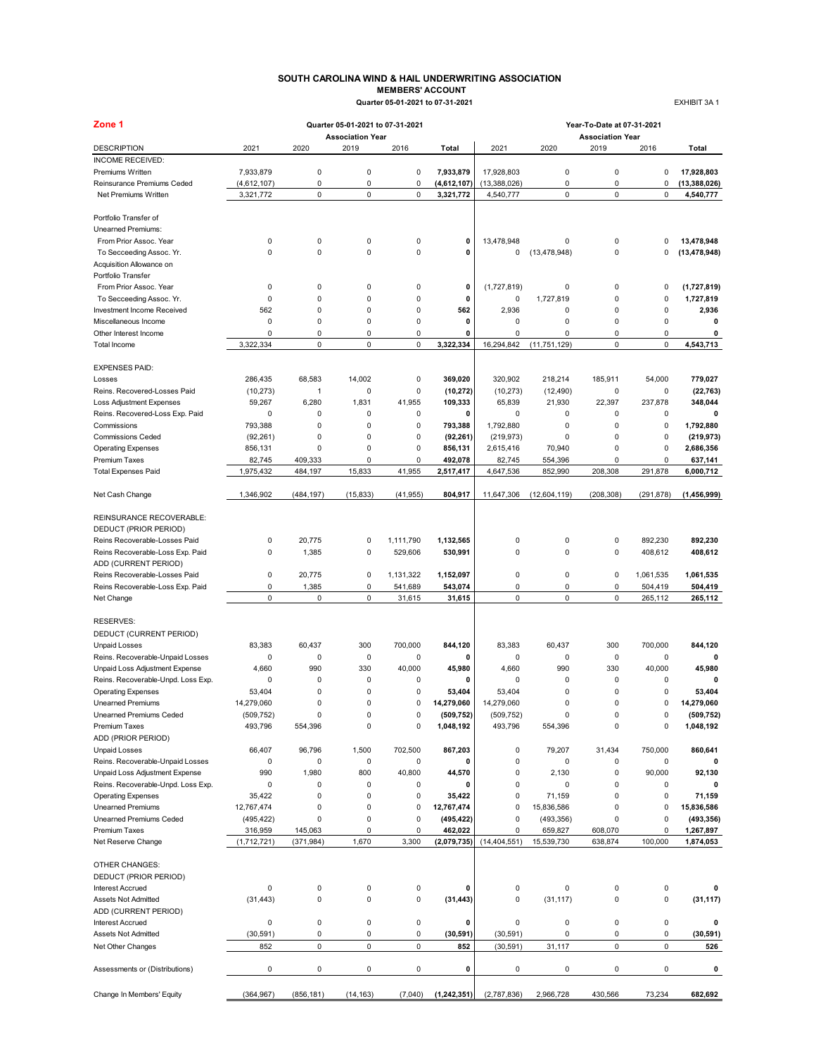#### **SOUTH CAROLINA WIND & HAIL UNDERWRITING ASSOCIATION MEMBERS' ACCOUNT Quarter 05-01-2021 to 07-31-2021** EXHIBIT 3A 1

| Zone 1                                         |             |            | Quarter 05-01-2021 to 07-31-2021 |             |               | Year-To-Date at 07-31-2021 |                |                                 |             |                |  |  |
|------------------------------------------------|-------------|------------|----------------------------------|-------------|---------------|----------------------------|----------------|---------------------------------|-------------|----------------|--|--|
| <b>DESCRIPTION</b>                             | 2021        | 2020       | <b>Association Year</b><br>2019  | 2016        | Total         | 2021                       | 2020           | <b>Association Year</b><br>2019 | 2016        | Total          |  |  |
| INCOME RECEIVED:                               |             |            |                                  |             |               |                            |                |                                 |             |                |  |  |
| Premiums Written                               | 7,933,879   | 0          | 0                                | $\pmb{0}$   | 7,933,879     | 17,928,803                 | 0              | 0                               | $\pmb{0}$   | 17,928,803     |  |  |
| Reinsurance Premiums Ceded                     | (4,612,107) | 0          | 0                                | $\pmb{0}$   | (4,612,107)   | (13, 388, 026)             | 0              | 0                               | $\pmb{0}$   | (13, 388, 026) |  |  |
| Net Premiums Written                           | 3,321,772   | 0          | 0                                | 0           | 3,321,772     | 4,540,777                  | 0              | 0                               | 0           | 4,540,777      |  |  |
| Portfolio Transfer of                          |             |            |                                  |             |               |                            |                |                                 |             |                |  |  |
| Unearned Premiums:                             |             |            |                                  |             |               |                            |                |                                 |             |                |  |  |
| From Prior Assoc. Year                         | 0           | 0          | 0                                | 0           | 0             | 13,478,948                 | 0              | 0                               | 0           | 13,478,948     |  |  |
| To Secceeding Assoc. Yr.                       | $\mathbf 0$ | 0          | $\mathbf 0$                      | $\pmb{0}$   | 0             | $\pmb{0}$                  | (13, 478, 948) | 0                               | 0           | (13, 478, 948) |  |  |
| Acquisition Allowance on<br>Portfolio Transfer |             |            |                                  |             |               |                            |                |                                 |             |                |  |  |
| From Prior Assoc. Year                         | 0           | 0          | 0                                | 0           | 0             | (1,727,819)                | 0              | 0                               | $\mathbf 0$ | (1,727,819)    |  |  |
| To Secceeding Assoc. Yr.                       | $\mathbf 0$ | 0          | 0                                | 0           | 0             | $\pmb{0}$                  | 1,727,819      | 0                               | $\mathbf 0$ | 1,727,819      |  |  |
| Investment Income Received                     | 562         | 0          | $\mathbf 0$                      | 0           | 562           | 2,936                      | 0              | $\mathbf 0$                     | $\pmb{0}$   | 2,936          |  |  |
| Miscellaneous Income                           | $\pmb{0}$   | 0          | $\mathbf 0$                      | 0           | 0             | $\mathbf 0$                | 0              | 0                               | $\pmb{0}$   | 0              |  |  |
| Other Interest Income                          | $\pmb{0}$   | 0          | 0                                | 0           | 0             | $\mathbf 0$                | 0              | 0                               | 0           | 0              |  |  |
| Total Income                                   | 3,322,334   | 0          | 0                                | $\pmb{0}$   | 3,322,334     | 16,294,842                 | (11, 751, 129) | 0                               | $\pmb{0}$   | 4,543,713      |  |  |
| <b>EXPENSES PAID:</b>                          |             |            |                                  |             |               |                            |                |                                 |             |                |  |  |
| Losses                                         | 286,435     | 68,583     | 14,002                           | $\pmb{0}$   | 369.020       | 320,902                    | 218,214        | 185,911                         | 54,000      | 779,027        |  |  |
| Reins. Recovered-Losses Paid                   | (10, 273)   | 1          | 0                                | $\pmb{0}$   | (10, 272)     | (10, 273)                  | (12, 490)      | 0                               | $\mathbf 0$ | (22, 763)      |  |  |
| <b>Loss Adjustment Expenses</b>                | 59,267      | 6,280      | 1,831                            | 41,955      | 109,333       | 65,839                     | 21,930         | 22,397                          | 237,878     | 348,044        |  |  |
| Reins. Recovered-Loss Exp. Paid                | 0           | 0          | 0                                | 0           | 0             | 0                          | 0              | 0                               | 0           |                |  |  |
| Commissions                                    | 793,388     | 0          | 0                                | 0           | 793,388       | 1,792,880                  | 0              | 0                               | $\mathbf 0$ | 1,792,880      |  |  |
| <b>Commissions Ceded</b>                       | (92, 261)   | 0          | 0                                | 0           | (92, 261)     | (219, 973)                 | 0              | 0                               | $\mathbf 0$ | (219, 973)     |  |  |
| <b>Operating Expenses</b>                      | 856,131     | 0          | 0                                | $\pmb{0}$   | 856,131       | 2,615,416                  | 70,940         | 0                               | $\mathbf 0$ | 2,686,356      |  |  |
| <b>Premium Taxes</b>                           | 82,745      | 409,333    | 0                                | 0           | 492,078       | 82,745                     | 554,396        | 0                               | 0           | 637,141        |  |  |
| <b>Total Expenses Paid</b>                     | 1,975,432   | 484,197    | 15,833                           | 41,955      | 2,517,417     | 4,647,536                  | 852,990        | 208,308                         | 291,878     | 6,000,712      |  |  |
| Net Cash Change                                | 1,346,902   | (484, 197) | (15, 833)                        | (41, 955)   | 804,917       | 11,647,306                 | (12,604,119)   | (208, 308)                      | (291, 878)  | (1,456,999)    |  |  |
|                                                |             |            |                                  |             |               |                            |                |                                 |             |                |  |  |
| REINSURANCE RECOVERABLE:                       |             |            |                                  |             |               |                            |                |                                 |             |                |  |  |
| DEDUCT (PRIOR PERIOD)                          |             |            |                                  |             |               |                            |                |                                 |             |                |  |  |
| Reins Recoverable-Losses Paid                  | 0           | 20,775     | 0                                | 1,111,790   | 1,132,565     | $\pmb{0}$                  | 0              | 0                               | 892,230     | 892,230        |  |  |
| Reins Recoverable-Loss Exp. Paid               | $\mathbf 0$ | 1,385      | 0                                | 529,606     | 530,991       | $\mathbf 0$                | 0              | 0                               | 408,612     | 408,612        |  |  |
| ADD (CURRENT PERIOD)                           |             |            |                                  |             |               |                            |                |                                 |             |                |  |  |
| Reins Recoverable-Losses Paid                  | $\mathsf 0$ | 20,775     | 0                                | 1,131,322   | 1,152,097     | $\mathsf 0$                | 0              | 0                               | 1,061,535   | 1,061,535      |  |  |
| Reins Recoverable-Loss Exp. Paid               | 0           | 1,385      | 0                                | 541,689     | 543,074       | $\mathsf 0$                | 0              | 0                               | 504,419     | 504,419        |  |  |
| Net Change                                     | $\mathbf 0$ | 0          | $\mathbf 0$                      | 31,615      | 31,615        | 0                          | $\mathbf 0$    | 0                               | 265,112     | 265,112        |  |  |
| <b>RESERVES:</b>                               |             |            |                                  |             |               |                            |                |                                 |             |                |  |  |
| DEDUCT (CURRENT PERIOD)                        |             |            |                                  |             |               |                            |                |                                 |             |                |  |  |
| <b>Unpaid Losses</b>                           | 83,383      | 60,437     | 300                              | 700,000     | 844,120       | 83,383                     | 60,437         | 300                             | 700.000     | 844,120        |  |  |
| Reins. Recoverable-Unpaid Losses               | 0           | 0          | $\mathbf 0$                      | $\pmb{0}$   | 0             | $\mathsf 0$                | 0              | 0                               | $\pmb{0}$   | 0              |  |  |
| Unpaid Loss Adjustment Expense                 | 4,660       | 990        | 330                              | 40,000      | 45,980        | 4,660                      | 990            | 330                             | 40,000      | 45,980         |  |  |
| Reins. Recoverable-Unpd. Loss Exp.             | $\mathbf 0$ | 0          | 0                                | $\mathbf 0$ | 0             | $\mathbf 0$                | 0              | 0                               | $\mathbf 0$ | 0              |  |  |
| <b>Operating Expenses</b>                      | 53,404      | 0          | 0                                | 0           | 53,404        | 53,404                     | 0              | 0                               | $\mathbf 0$ | 53,404         |  |  |
| <b>Unearned Premiums</b>                       | 14,279,060  | 0          | $\mathbf 0$                      | 0           | 14,279,060    | 14,279,060                 | $\mathbf 0$    | 0                               | 0           | 14,279,060     |  |  |
| Unearned Premiums Ceded                        | (509, 752)  |            | O                                | U           | (509, 752)    | (509, 752)                 | υ              | o                               | o           | (509, 752)     |  |  |
| Premium Taxes                                  | 493,796     | 554,396    | 0                                | $\pmb{0}$   | 1,048,192     | 493,796                    | 554,396        | 0                               | $\pmb{0}$   | 1,048,192      |  |  |
| ADD (PRIOR PERIOD)                             |             |            |                                  |             |               |                            |                |                                 |             |                |  |  |
| <b>Unpaid Losses</b>                           | 66,407      | 96,796     | 1,500                            | 702,500     | 867,203       | $\pmb{0}$                  | 79,207         | 31,434                          | 750,000     | 860,641        |  |  |
| Reins. Recoverable-Unpaid Losses               | 0           | 0          | $\mathsf 0$                      | 0           | 0             | $\mathbf 0$                | 0              | 0                               | $\pmb{0}$   | 0              |  |  |
| Unpaid Loss Adjustment Expense                 | 990         | 1,980      | 800                              | 40,800      | 44,570        | $\pmb{0}$                  | 2,130          | 0                               | 90,000      | 92,130         |  |  |
| Reins. Recoverable-Unpd. Loss Exp.             | 0           | 0          | 0                                | 0           | 0             | $\mathbf 0$                | 0              | 0                               | $\mathbf 0$ | 0              |  |  |
| <b>Operating Expenses</b>                      | 35,422      | 0          | 0                                | 0           | 35,422        | $\mathsf 0$                | 71,159         | 0                               | 0           | 71,159         |  |  |
| <b>Unearned Premiums</b>                       | 12,767,474  | 0          | 0                                | $\pmb{0}$   | 12,767,474    | 0                          | 15,836,586     | 0                               | $\pmb{0}$   | 15,836,586     |  |  |
| <b>Unearned Premiums Ceded</b>                 | (495, 422)  | 0          | 0                                | 0           | (495, 422)    | $\pmb{0}$                  | (493, 356)     | 0                               | 0           | (493, 356)     |  |  |
| Premium Taxes                                  | 316,959     | 145,063    | 0                                | 0           | 462,022       | $\mathbf 0$                | 659,827        | 608,070                         | $\mathbf 0$ | 1,267,897      |  |  |
| Net Reserve Change                             | (1,712,721) | (371, 984) | 1,670                            | 3,300       | (2,079,735)   | (14, 404, 551)             | 15,539,730     | 638,874                         | 100,000     | 1,874,053      |  |  |
| OTHER CHANGES:                                 |             |            |                                  |             |               |                            |                |                                 |             |                |  |  |
| DEDUCT (PRIOR PERIOD)                          |             |            |                                  |             |               |                            |                |                                 |             |                |  |  |
| <b>Interest Accrued</b>                        | 0           | 0          | 0                                | 0           | 0             | $\pmb{0}$                  | 0              | 0                               | 0           | 0              |  |  |
| Assets Not Admitted                            | (31, 443)   | 0          | $\mathbf 0$                      | $\mathsf 0$ | (31, 443)     | $\mathbf 0$                | (31, 117)      | 0                               | $\pmb{0}$   | (31, 117)      |  |  |
| ADD (CURRENT PERIOD)                           |             |            |                                  |             |               |                            |                |                                 |             |                |  |  |
| <b>Interest Accrued</b>                        | 0           | 0          | 0                                | $\pmb{0}$   | 0             | $\mathbf 0$                | 0              | 0                               | $\pmb{0}$   | 0              |  |  |
| Assets Not Admitted                            | (30, 591)   | 0          | 0                                | 0           | (30, 591)     | (30, 591)                  | 0              | 0                               | $\pmb{0}$   | (30, 591)      |  |  |
| Net Other Changes                              | 852         | 0          | 0                                | $\pmb{0}$   | 852           | (30, 591)                  | 31,117         | 0                               | $\pmb{0}$   | 526            |  |  |
| Assessments or (Distributions)                 | $\pmb{0}$   | 0          | 0                                | $\mathsf 0$ | 0             | $\pmb{0}$                  | 0              | 0                               | 0           | 0              |  |  |
| Change In Members' Equity                      | (364, 967)  | (856, 181) | (14, 163)                        | (7,040)     | (1, 242, 351) | (2,787,836)                | 2,966,728      | 430,566                         | 73,234      | 682,692        |  |  |
|                                                |             |            |                                  |             |               |                            |                |                                 |             |                |  |  |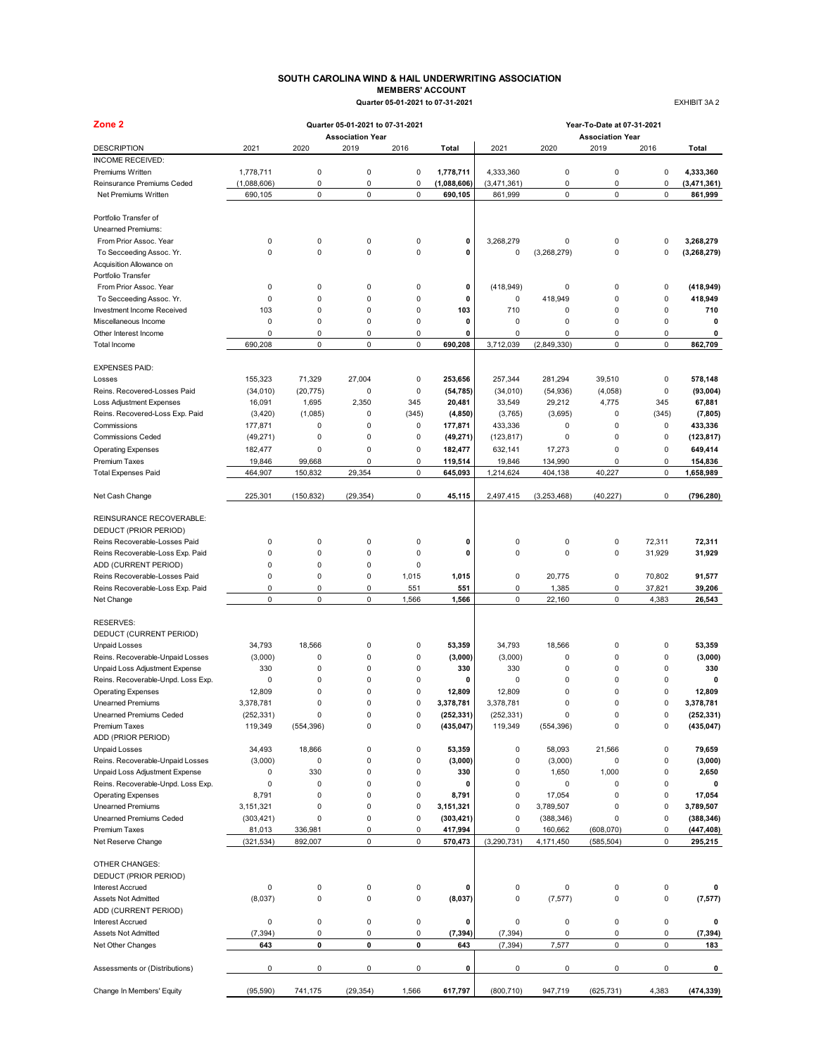#### **SOUTH CAROLINA WIND & HAIL UNDERWRITING ASSOCIATION MEMBERS' ACCOUNT Quarter 05-01-2021 to 07-31-2021** EXHIBIT 3A 2

| Zone <sub>2</sub>                           |                      |             | Quarter 05-01-2021 to 07-31-2021 |                |             | Year-To-Date at 07-31-2021 |               |                                 |        |                         |
|---------------------------------------------|----------------------|-------------|----------------------------------|----------------|-------------|----------------------------|---------------|---------------------------------|--------|-------------------------|
| <b>DESCRIPTION</b>                          | 2021                 | 2020        | <b>Association Year</b><br>2019  | 2016           | Total       | 2021                       | 2020          | <b>Association Year</b><br>2019 | 2016   | Total                   |
| INCOME RECEIVED:                            |                      |             |                                  |                |             |                            |               |                                 |        |                         |
| Premiums Written                            | 1,778,711            | 0           | $\pmb{0}$                        | 0              | 1,778,711   | 4,333,360                  | 0             | 0                               | 0      | 4,333,360               |
| <b>Reinsurance Premiums Ceded</b>           | (1,088,606)          | 0           | $\pmb{0}$                        | 0              | (1,088,606) | (3,471,361)                | 0             | 0                               | 0      | (3,471,361)             |
| Net Premiums Written                        | 690,105              | 0           | $\pmb{0}$                        | 0              | 690,105     | 861,999                    | $\mathsf 0$   | 0                               | 0      | 861,999                 |
| Portfolio Transfer of                       |                      |             |                                  |                |             |                            |               |                                 |        |                         |
| Unearned Premiums:                          |                      |             |                                  |                |             |                            |               |                                 |        |                         |
| From Prior Assoc. Year                      | 0                    | 0           | $\pmb{0}$                        | 0              | 0           | 3,268,279                  | 0             | 0                               | 0      | 3,268,279               |
| To Secceeding Assoc. Yr.                    | 0                    | $\mathbf 0$ | $\mathbf 0$                      | $\mathbf 0$    | 0           | 0                          | (3,268,279)   | 0                               | 0      | (3, 268, 279)           |
| Acquisition Allowance on                    |                      |             |                                  |                |             |                            |               |                                 |        |                         |
| Portfolio Transfer                          |                      |             |                                  |                |             |                            |               |                                 |        |                         |
|                                             | 0                    | 0           | $\pmb{0}$                        | 0              | 0           | (418, 949)                 | 0             | 0                               | 0      | (418, 949)              |
| From Prior Assoc. Year                      | 0                    | $\mathbf 0$ | $\pmb{0}$                        | 0              | $\mathbf 0$ | 0                          | 418,949       | 0                               | 0      | 418,949                 |
| To Secceeding Assoc. Yr.                    | 103                  | $\mathbf 0$ | $\mathbf 0$                      | 0              | 103         | 710                        | 0             | 0                               | 0      | 710                     |
| Investment Income Received                  | 0                    | $\mathbf 0$ | $\pmb{0}$                        | 0              | 0           | 0                          | 0             | 0                               | 0      | 0                       |
| Miscellaneous Income                        | 0                    |             |                                  |                |             |                            |               |                                 |        |                         |
| Other Interest Income                       |                      | 0<br>0      | $\pmb{0}$<br>$\mathbf 0$         | 0<br>0         | 0           | 0                          | 0             | 0<br>0                          | 0<br>0 | 0                       |
| Total Income                                | 690,208              |             |                                  |                | 690,208     | 3,712,039                  | (2,849,330)   |                                 |        | 862,709                 |
| <b>EXPENSES PAID:</b>                       |                      |             |                                  |                |             |                            |               |                                 |        |                         |
| Losses                                      | 155,323              | 71,329      | 27,004                           | 0              | 253.656     | 257,344                    | 281,294       | 39,510                          | 0      | 578,148                 |
| Reins. Recovered-Losses Paid                | (34, 010)            | (20, 775)   | $\pmb{0}$                        | 0              | (54, 785)   | (34, 010)                  | (54, 936)     | (4,058)                         | 0      | (93,004)                |
| Loss Adjustment Expenses                    | 16,091               | 1,695       | 2,350                            | 345            | 20,481      | 33,549                     | 29,212        | 4,775                           | 345    | 67,881                  |
| Reins. Recovered-Loss Exp. Paid             | (3, 420)             | (1,085)     | 0                                | (345)          | (4, 850)    | (3,765)                    | (3,695)       | 0                               | (345)  | (7,805)                 |
| Commissions                                 | 177,871              | 0           | $\pmb{0}$                        | 0              | 177,871     | 433,336                    | 0             | 0                               | 0      | 433,336                 |
| <b>Commissions Ceded</b>                    | (49, 271)            | 0           | $\mathbf 0$                      | 0              | (49, 271)   | (123, 817)                 | 0             | 0                               | 0      | (123, 817)              |
| <b>Operating Expenses</b>                   | 182,477              | 0           | $\pmb{0}$                        | 0              | 182.477     | 632,141                    | 17,273        | 0                               | 0      | 649,414                 |
| <b>Premium Taxes</b>                        | 19,846               | 99,668      | 0                                | 0              | 119,514     | 19,846                     | 134,990       | 0                               | 0      | 154,836                 |
| <b>Total Expenses Paid</b>                  | 464,907              | 150,832     | 29,354                           | 0              | 645,093     | 1,214,624                  | 404,138       | 40,227                          | 0      | 1,658,989               |
| Net Cash Change                             | 225,301              | (150, 832)  | (29, 354)                        | 0              | 45,115      | 2,497,415                  | (3, 253, 468) | (40, 227)                       | 0      | (796, 280)              |
| REINSURANCE RECOVERABLE:                    |                      |             |                                  |                |             |                            |               |                                 |        |                         |
|                                             |                      |             |                                  |                |             |                            |               |                                 |        |                         |
| DEDUCT (PRIOR PERIOD)                       |                      |             |                                  |                |             |                            |               |                                 |        |                         |
| Reins Recoverable-Losses Paid               | 0                    | 0           | $\mathbf 0$                      | 0              | 0           | 0                          | 0             | 0                               | 72,311 | 72,311                  |
| Reins Recoverable-Loss Exp. Paid            | 0                    | $\mathbf 0$ | $\pmb{0}$                        | 0              | 0           | 0                          | 0             | 0                               | 31,929 | 31,929                  |
| ADD (CURRENT PERIOD)                        | 0                    | $\mathbf 0$ | $\mathbf 0$                      | 0              |             |                            |               |                                 |        |                         |
| Reins Recoverable-Losses Paid               | 0                    | $\mathbf 0$ | $\mathbf 0$                      | 1,015          | 1,015       | 0                          | 20,775        | 0                               | 70,802 | 91,577                  |
| Reins Recoverable-Loss Exp. Paid            | 0                    | 0           | $\pmb{0}$                        | 551            | 551         | 0                          | 1,385         | 0                               | 37,821 | 39,206                  |
| Net Change                                  | 0                    | 0           | $\pmb{0}$                        | 1,566          | 1,566       | 0                          | 22,160        | 0                               | 4,383  | 26,543                  |
| <b>RESERVES:</b><br>DEDUCT (CURRENT PERIOD) |                      |             |                                  |                |             |                            |               |                                 |        |                         |
| <b>Unpaid Losses</b>                        | 34,793               | 18,566      | $\mathbf 0$                      | 0              | 53,359      | 34,793                     | 18,566        | 0                               | 0      | 53,359                  |
| Reins. Recoverable-Unpaid Losses            | (3,000)              | $\mathbf 0$ | $\pmb{0}$                        | 0              | (3,000)     | (3,000)                    | $\pmb{0}$     | 0                               | 0      | (3,000)                 |
| Unpaid Loss Adjustment Expense              | 330                  | 0           | $\mathbf 0$                      | 0              | 330         | 330                        | 0             | 0                               | 0      | 330                     |
| Reins. Recoverable-Unpd. Loss Exp.          | 0                    | $\mathbf 0$ | $\mathbf 0$                      | $\mathbf 0$    | 0           | 0                          | $\mathbf 0$   | 0                               | 0      | $\mathbf 0$             |
| <b>Operating Expenses</b>                   | 12,809               | $\mathbf 0$ | $\mathbf 0$                      | 0              | 12,809      | 12,809                     | $\mathbf 0$   | 0                               | 0      | 12,809                  |
| <b>Unearned Premiums</b>                    | 3,378,781            | $\mathbf 0$ | 0                                | $\overline{0}$ | 3,378,781   | 3,378,781                  | $\mathbf 0$   | 0                               | 0      | 3,378,781               |
| Unearned Premiums Ceded                     |                      |             | o                                | U              | (252, 331)  | (252, 331)                 | υ             | o                               | o      |                         |
| Premium Taxes                               | (252,331)<br>119,349 | (554, 396)  | $\pmb{0}$                        | 0              | (435, 047)  | 119,349                    | (554, 396)    | 0                               | 0      | (252,331)<br>(435, 047) |
| ADD (PRIOR PERIOD)                          |                      |             |                                  |                |             |                            |               |                                 |        |                         |
| <b>Unpaid Losses</b>                        | 34,493               | 18,866      | $\pmb{0}$                        | $\mathsf 0$    | 53,359      | 0                          | 58,093        | 21,566                          | 0      | 79,659                  |
| Reins. Recoverable-Unpaid Losses            | (3,000)              | 0           | $\pmb{0}$                        | $\mathsf 0$    | (3,000)     | 0                          | (3,000)       | 0                               | 0      | (3,000)                 |
| Unpaid Loss Adjustment Expense              | 0                    | 330         | $\mathbf 0$                      | 0              | 330         | 0                          | 1,650         | 1,000                           | 0      | 2,650                   |
| Reins. Recoverable-Unpd. Loss Exp.          | 0                    | 0           | 0                                | 0              | 0           | 0                          | 0             | 0                               | 0      | 0                       |
|                                             |                      | 0           | $\pmb{0}$                        | 0              |             | 0                          |               | 0                               | 0      |                         |
| <b>Operating Expenses</b>                   | 8,791                |             |                                  |                | 8,791       |                            | 17,054        |                                 |        | 17,054                  |
| <b>Unearned Premiums</b>                    | 3,151,321            | 0           | $\pmb{0}$                        | 0              | 3,151,321   | 0                          | 3,789,507     | 0                               | 0      | 3,789,507               |
| <b>Unearned Premiums Ceded</b>              | (303, 421)           | 0           | $\pmb{0}$                        | 0              | (303, 421)  | 0                          | (388, 346)    | 0                               | 0      | (388, 346)              |
| <b>Premium Taxes</b>                        | 81,013               | 336,981     | 0<br>$\pmb{0}$                   | 0<br>0         | 417,994     | 0                          | 160,662       | (608,070)                       | 0      | (447, 408)<br>295,215   |
| Net Reserve Change                          | (321, 534)           | 892,007     |                                  |                | 570,473     | (3,290,731)                | 4,171,450     | (585, 504)                      | 0      |                         |
| OTHER CHANGES:                              |                      |             |                                  |                |             |                            |               |                                 |        |                         |
| DEDUCT (PRIOR PERIOD)                       |                      |             |                                  |                |             |                            |               |                                 |        |                         |
| <b>Interest Accrued</b>                     | 0                    | 0           | $\pmb{0}$                        | 0              | 0           | 0                          | 0             | 0                               | 0      | 0                       |
| Assets Not Admitted                         | (8,037)              | 0           | $\pmb{0}$                        | 0              | (8,037)     | 0                          | (7, 577)      | 0                               | 0      | (7, 577)                |
| ADD (CURRENT PERIOD)                        |                      |             |                                  |                |             |                            |               |                                 |        |                         |
| <b>Interest Accrued</b>                     | 0                    | 0           | 0                                | 0              | 0           | 0                          | 0             | 0                               | 0      | 0                       |
| Assets Not Admitted                         | (7, 394)             | 0           | $\pmb{0}$                        | 0              | (7, 394)    | (7, 394)                   | 0             | 0                               | 0      | (7, 394)                |
| Net Other Changes                           | 643                  | 0           | 0                                | 0              | 643         | (7, 394)                   | 7,577         | 0                               | 0      | 183                     |
| Assessments or (Distributions)              | 0                    | 0           | 0                                | 0              | 0           | 0                          | 0             | 0                               | 0      | 0                       |
|                                             |                      |             |                                  |                |             |                            |               |                                 |        |                         |
| Change In Members' Equity                   | (95, 590)            | 741,175     | (29, 354)                        | 1,566          | 617,797     | (800, 710)                 | 947,719       | (625, 731)                      | 4,383  | (474, 339)              |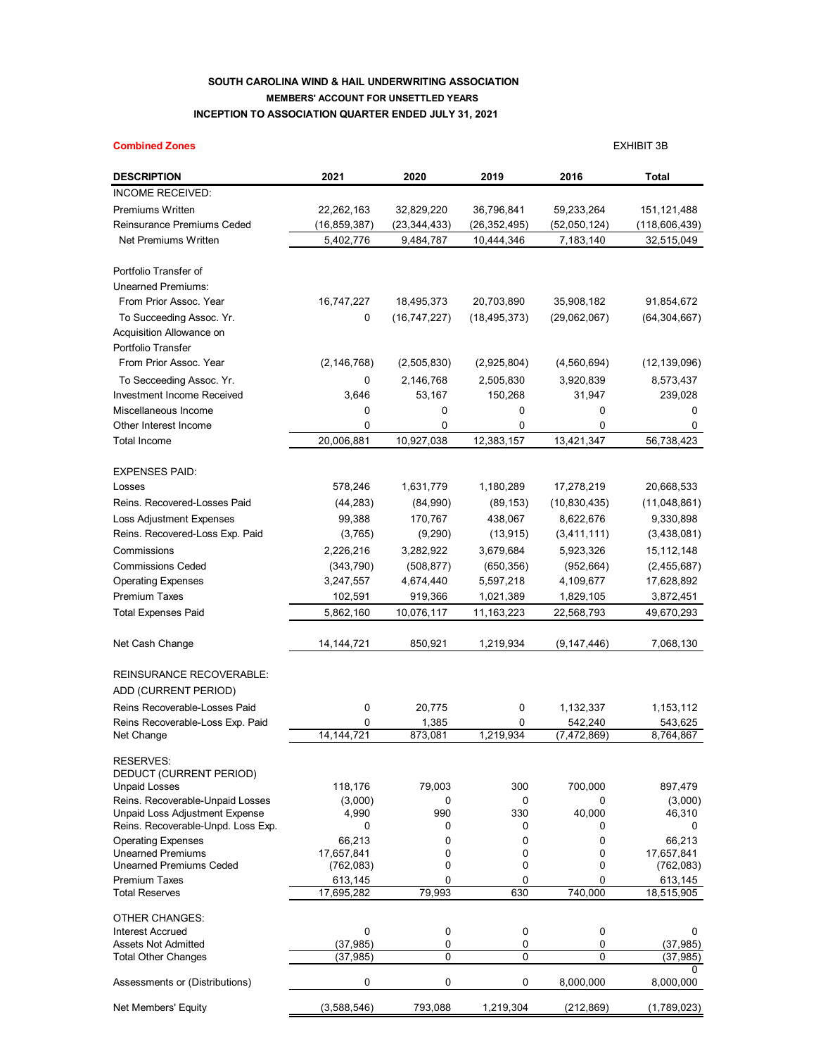## **SOUTH CAROLINA WIND & HAIL UNDERWRITING ASSOCIATION MEMBERS' ACCOUNT FOR UNSETTLED YEARS INCEPTION TO ASSOCIATION QUARTER ENDED JULY 31, 2021**

| <b>Combined Zones</b>                                      |                          |                |                |                | <b>EXHIBIT 3B</b>        |
|------------------------------------------------------------|--------------------------|----------------|----------------|----------------|--------------------------|
| <b>DESCRIPTION</b>                                         | 2021                     | 2020           | 2019           | 2016           | Total                    |
| INCOME RECEIVED:                                           |                          |                |                |                |                          |
| <b>Premiums Written</b>                                    | 22,262,163               | 32,829,220     | 36,796,841     | 59,233,264     | 151,121,488              |
| Reinsurance Premiums Ceded                                 | (16, 859, 387)           | (23, 344, 433) | (26, 352, 495) | (52,050,124)   | (118,606,439)            |
| Net Premiums Written                                       | 5,402,776                | 9,484,787      | 10,444,346     | 7,183,140      | 32,515,049               |
| Portfolio Transfer of                                      |                          |                |                |                |                          |
| <b>Unearned Premiums:</b>                                  |                          |                |                |                |                          |
| From Prior Assoc. Year                                     | 16,747,227               | 18,495,373     | 20,703,890     | 35,908,182     | 91,854,672               |
| To Succeeding Assoc. Yr.                                   | 0                        | (16, 747, 227) | (18, 495, 373) | (29,062,067)   | (64, 304, 667)           |
| Acquisition Allowance on                                   |                          |                |                |                |                          |
| Portfolio Transfer                                         |                          |                |                |                |                          |
| From Prior Assoc. Year                                     | (2, 146, 768)            | (2,505,830)    | (2,925,804)    | (4,560,694)    | (12, 139, 096)           |
| To Secceeding Assoc. Yr.                                   | 0                        | 2,146,768      | 2,505,830      | 3,920,839      | 8,573,437                |
| Investment Income Received                                 | 3,646                    | 53,167         | 150,268        | 31,947         | 239,028                  |
| Miscellaneous Income                                       | 0                        | 0              | 0              | 0              | 0                        |
| Other Interest Income                                      | $\mathbf 0$              | 0              | 0              | 0              | 0                        |
| <b>Total Income</b>                                        | 20,006,881               | 10,927,038     | 12,383,157     | 13,421,347     | 56,738,423               |
| <b>EXPENSES PAID:</b>                                      |                          |                |                |                |                          |
| Losses                                                     | 578,246                  | 1,631,779      | 1,180,289      | 17,278,219     | 20,668,533               |
| Reins. Recovered-Losses Paid                               | (44, 283)                | (84,990)       | (89, 153)      | (10, 830, 435) | (11,048,861)             |
| <b>Loss Adjustment Expenses</b>                            | 99,388                   | 170,767        | 438,067        | 8,622,676      | 9,330,898                |
| Reins. Recovered-Loss Exp. Paid                            | (3,765)                  | (9,290)        | (13, 915)      | (3,411,111)    | (3,438,081)              |
| Commissions                                                | 2,226,216                | 3,282,922      | 3,679,684      | 5,923,326      | 15,112,148               |
| <b>Commissions Ceded</b>                                   | (343,790)                | (508, 877)     | (650, 356)     | (952, 664)     | (2,455,687)              |
| <b>Operating Expenses</b>                                  | 3,247,557                | 4,674,440      | 5,597,218      | 4,109,677      | 17,628,892               |
| <b>Premium Taxes</b>                                       | 102,591                  | 919,366        | 1,021,389      | 1,829,105      | 3,872,451                |
| <b>Total Expenses Paid</b>                                 | 5,862,160                | 10,076,117     | 11,163,223     | 22,568,793     | 49,670,293               |
| Net Cash Change                                            | 14,144,721               | 850,921        | 1,219,934      | (9,147,446)    | 7,068,130                |
| <b>REINSURANCE RECOVERABLE:</b>                            |                          |                |                |                |                          |
| ADD (CURRENT PERIOD)                                       |                          |                |                |                |                          |
| Reins Recoverable-Losses Paid                              | 0                        | 20,775         | 0              | 1,132,337      | 1,153,112                |
| Reins Recoverable-Loss Exp. Paid                           | 0                        | 1,385          | 0              | 542,240        | 543,625                  |
| Net Change                                                 | 14, 144, 721             | 873,081        | 1,219,934      | (7, 472, 869)  | 8,764,867                |
| <b>RESERVES:</b>                                           |                          |                |                |                |                          |
| DEDUCT (CURRENT PERIOD)<br><b>Unpaid Losses</b>            | 118,176                  | 79,003         | 300            | 700,000        | 897,479                  |
| Reins. Recoverable-Unpaid Losses                           | (3,000)                  | 0              | 0              | 0              | (3,000)                  |
| Unpaid Loss Adjustment Expense                             | 4,990                    | 990            | 330            | 40,000         | 46,310                   |
| Reins. Recoverable-Unpd. Loss Exp.                         | 0                        | 0              | 0              | 0              | 0                        |
| <b>Operating Expenses</b>                                  | 66,213                   | 0              | 0              | 0              | 66.213                   |
| <b>Unearned Premiums</b><br><b>Unearned Premiums Ceded</b> | 17,657,841<br>(762, 083) | 0<br>0         | 0<br>0         | 0<br>0         | 17,657,841<br>(762, 083) |
| <b>Premium Taxes</b>                                       | 613,145                  | 0              | 0              | 0              | 613,145                  |
| <b>Total Reserves</b>                                      | 17,695,282               | 79,993         | 630            | 740,000        | 18,515,905               |
| <b>OTHER CHANGES:</b>                                      |                          |                |                |                |                          |
| <b>Interest Accrued</b>                                    | 0                        | $\pmb{0}$      | 0              | 0              | 0                        |
| <b>Assets Not Admitted</b>                                 | (37, 985)                | 0<br>0         | 0<br>0         | 0<br>0         | (37, 985)                |
| <b>Total Other Changes</b>                                 | (37, 985)                |                |                |                | (37, 985)<br>0           |
| Assessments or (Distributions)                             | 0                        | $\mathbf 0$    | $\mathbf 0$    | 8,000,000      | 8,000,000                |

Net Members' Equity (3,588,546) 793,088 1,219,304 (212,869) (1,789,023)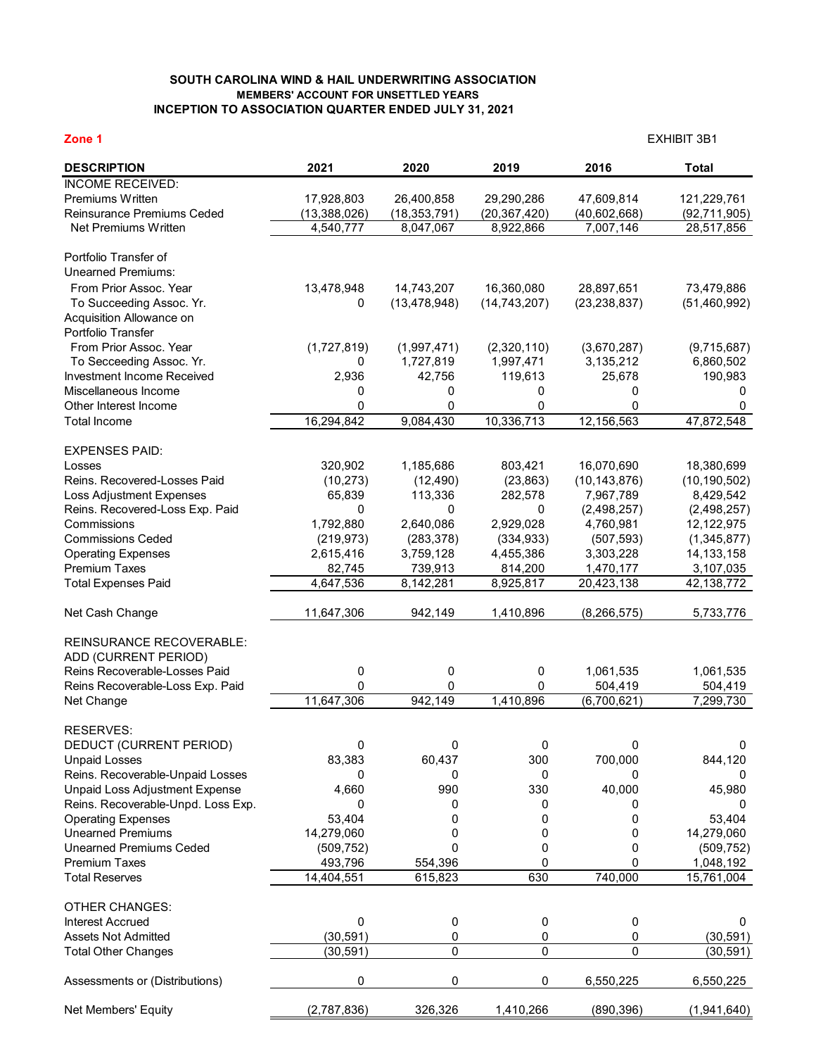## **SOUTH CAROLINA WIND & HAIL UNDERWRITING ASSOCIATION MEMBERS' ACCOUNT FOR UNSETTLED YEARS INCEPTION TO ASSOCIATION QUARTER ENDED JULY 31, 2021**

| <b>DESCRIPTION</b><br>2021<br>2020<br>2019<br>2016<br><b>Total</b><br><b>INCOME RECEIVED:</b><br>Premiums Written<br>17,928,803<br>26,400,858<br>29,290,286<br>47,609,814<br>121,229,761<br>Reinsurance Premiums Ceded<br>(13, 388, 026)<br>(18, 353, 791)<br>(20, 367, 420)<br>(40,602,668)<br>(92, 711, 905)<br>Net Premiums Written<br>4,540,777<br>8,047,067<br>8,922,866<br>7,007,146<br>28,517,856<br>Portfolio Transfer of<br><b>Unearned Premiums:</b><br>From Prior Assoc, Year<br>13,478,948<br>14,743,207<br>16,360,080<br>28,897,651<br>73,479,886<br>To Succeeding Assoc. Yr.<br>(13, 478, 948)<br>(14, 743, 207)<br>(23, 238, 837)<br>(51, 460, 992)<br>0<br>Acquisition Allowance on<br>Portfolio Transfer<br>From Prior Assoc. Year<br>(1,727,819)<br>(1,997,471)<br>(2,320,110)<br>(9,715,687)<br>(3,670,287)<br>1,727,819<br>1,997,471<br>To Secceeding Assoc. Yr.<br>3,135,212<br>6,860,502<br>0<br>Investment Income Received<br>2,936<br>42,756<br>119,613<br>25,678<br>190,983<br>Miscellaneous Income<br>0<br>0<br>0<br>0<br>0<br>0<br>0<br>0<br>0<br>Other Interest Income<br>0<br>16,294,842<br>12,156,563<br>9,084,430<br>10,336,713<br>47,872,548<br><b>Total Income</b><br><b>EXPENSES PAID:</b><br>320,902<br>803,421<br>16,070,690<br>18,380,699<br>Losses<br>1,185,686<br>Reins, Recovered-Losses Paid<br>(10, 273)<br>(23, 863)<br>(10, 143, 876)<br>(10, 190, 502)<br>(12, 490)<br><b>Loss Adjustment Expenses</b><br>65,839<br>113,336<br>282,578<br>7,967,789<br>8,429,542<br>Reins. Recovered-Loss Exp. Paid<br>$\mathbf 0$<br>(2,498,257)<br>0<br>0<br>(2,498,257)<br>1,792,880<br>2,640,086<br>2,929,028<br>Commissions<br>4,760,981<br>12,122,975<br><b>Commissions Ceded</b><br>(219, 973)<br>(507, 593)<br>(1,345,877)<br>(283, 378)<br>(334, 933)<br>2,615,416<br>3,759,128<br>4,455,386<br>3,303,228<br>14, 133, 158<br><b>Operating Expenses</b><br><b>Premium Taxes</b><br>82,745<br>739,913<br>814,200<br>1,470,177<br>3,107,035<br><b>Total Expenses Paid</b><br>4,647,536<br>8,925,817<br>20,423,138<br>42,138,772<br>8,142,281<br>942,149<br>1,410,896<br>Net Cash Change<br>11,647,306<br>(8, 266, 575)<br>5,733,776<br><b>REINSURANCE RECOVERABLE:</b><br>ADD (CURRENT PERIOD)<br>Reins Recoverable-Losses Paid<br>1,061,535<br>0<br>0<br>1,061,535<br>0<br>0<br>0<br>504,419<br>Reins Recoverable-Loss Exp. Paid<br>0<br>504,419<br>11,647,306<br>942,149<br>1,410,896<br>(6,700,621)<br>7,299,730<br>Net Change<br><b>RESERVES:</b><br>0<br>DEDUCT (CURRENT PERIOD)<br>0<br>0<br>0<br>0<br><b>Unpaid Losses</b><br>83,383<br>60,437<br>300<br>700,000<br>844,120<br>Reins. Recoverable-Unpaid Losses<br>0<br>0<br>0<br>0<br>0<br>Unpaid Loss Adjustment Expense<br>990<br>330<br>40,000<br>4,660<br>45,980<br>Reins. Recoverable-Unpd. Loss Exp.<br>0<br>0<br>0<br>0<br>0<br><b>Operating Expenses</b><br>53,404<br>53,404<br>0<br>0<br>0<br><b>Unearned Premiums</b><br>14,279,060<br>14,279,060<br>0<br>0<br>0<br><b>Unearned Premiums Ceded</b><br>0<br>(509, 752)<br>0<br>(509, 752)<br>0<br>0<br><b>Premium Taxes</b><br>493,796<br>554,396<br>0<br>1,048,192<br>630<br>740,000<br><b>Total Reserves</b><br>14,404,551<br>615,823<br>15,761,004<br><b>OTHER CHANGES:</b><br>0<br>0<br><b>Interest Accrued</b><br>0<br>$\boldsymbol{0}$<br>0<br><b>Assets Not Admitted</b><br>(30, 591)<br>0<br>0<br>0<br>(30, 591)<br>$\pmb{0}$<br>0<br>0<br>(30, 591)<br><b>Total Other Changes</b><br>(30, 591)<br>0<br>0<br>0<br>Assessments or (Distributions)<br>6,550,225<br>6,550,225<br>(2,787,836)<br>326,326<br>1,410,266<br>(890, 396)<br>Net Members' Equity<br>(1,941,640) | Zone 1 |  |  | <b>EXHIBIT 3B1</b> |  |  |
|-----------------------------------------------------------------------------------------------------------------------------------------------------------------------------------------------------------------------------------------------------------------------------------------------------------------------------------------------------------------------------------------------------------------------------------------------------------------------------------------------------------------------------------------------------------------------------------------------------------------------------------------------------------------------------------------------------------------------------------------------------------------------------------------------------------------------------------------------------------------------------------------------------------------------------------------------------------------------------------------------------------------------------------------------------------------------------------------------------------------------------------------------------------------------------------------------------------------------------------------------------------------------------------------------------------------------------------------------------------------------------------------------------------------------------------------------------------------------------------------------------------------------------------------------------------------------------------------------------------------------------------------------------------------------------------------------------------------------------------------------------------------------------------------------------------------------------------------------------------------------------------------------------------------------------------------------------------------------------------------------------------------------------------------------------------------------------------------------------------------------------------------------------------------------------------------------------------------------------------------------------------------------------------------------------------------------------------------------------------------------------------------------------------------------------------------------------------------------------------------------------------------------------------------------------------------------------------------------------------------------------------------------------------------------------------------------------------------------------------------------------------------------------------------------------------------------------------------------------------------------------------------------------------------------------------------------------------------------------------------------------------------------------------------------------------------------------------------------------------------------------------------------------------------------------------------------------------------------------------------------------------------------------------------------------------------------------------------------------------------------------------------------------------------------------------------------------------------------------------------------------------------------------------------------------------------------------------------------------------------------------------|--------|--|--|--------------------|--|--|
|                                                                                                                                                                                                                                                                                                                                                                                                                                                                                                                                                                                                                                                                                                                                                                                                                                                                                                                                                                                                                                                                                                                                                                                                                                                                                                                                                                                                                                                                                                                                                                                                                                                                                                                                                                                                                                                                                                                                                                                                                                                                                                                                                                                                                                                                                                                                                                                                                                                                                                                                                                                                                                                                                                                                                                                                                                                                                                                                                                                                                                                                                                                                                                                                                                                                                                                                                                                                                                                                                                                                                                                                                                   |        |  |  |                    |  |  |
|                                                                                                                                                                                                                                                                                                                                                                                                                                                                                                                                                                                                                                                                                                                                                                                                                                                                                                                                                                                                                                                                                                                                                                                                                                                                                                                                                                                                                                                                                                                                                                                                                                                                                                                                                                                                                                                                                                                                                                                                                                                                                                                                                                                                                                                                                                                                                                                                                                                                                                                                                                                                                                                                                                                                                                                                                                                                                                                                                                                                                                                                                                                                                                                                                                                                                                                                                                                                                                                                                                                                                                                                                                   |        |  |  |                    |  |  |
|                                                                                                                                                                                                                                                                                                                                                                                                                                                                                                                                                                                                                                                                                                                                                                                                                                                                                                                                                                                                                                                                                                                                                                                                                                                                                                                                                                                                                                                                                                                                                                                                                                                                                                                                                                                                                                                                                                                                                                                                                                                                                                                                                                                                                                                                                                                                                                                                                                                                                                                                                                                                                                                                                                                                                                                                                                                                                                                                                                                                                                                                                                                                                                                                                                                                                                                                                                                                                                                                                                                                                                                                                                   |        |  |  |                    |  |  |
|                                                                                                                                                                                                                                                                                                                                                                                                                                                                                                                                                                                                                                                                                                                                                                                                                                                                                                                                                                                                                                                                                                                                                                                                                                                                                                                                                                                                                                                                                                                                                                                                                                                                                                                                                                                                                                                                                                                                                                                                                                                                                                                                                                                                                                                                                                                                                                                                                                                                                                                                                                                                                                                                                                                                                                                                                                                                                                                                                                                                                                                                                                                                                                                                                                                                                                                                                                                                                                                                                                                                                                                                                                   |        |  |  |                    |  |  |
|                                                                                                                                                                                                                                                                                                                                                                                                                                                                                                                                                                                                                                                                                                                                                                                                                                                                                                                                                                                                                                                                                                                                                                                                                                                                                                                                                                                                                                                                                                                                                                                                                                                                                                                                                                                                                                                                                                                                                                                                                                                                                                                                                                                                                                                                                                                                                                                                                                                                                                                                                                                                                                                                                                                                                                                                                                                                                                                                                                                                                                                                                                                                                                                                                                                                                                                                                                                                                                                                                                                                                                                                                                   |        |  |  |                    |  |  |
|                                                                                                                                                                                                                                                                                                                                                                                                                                                                                                                                                                                                                                                                                                                                                                                                                                                                                                                                                                                                                                                                                                                                                                                                                                                                                                                                                                                                                                                                                                                                                                                                                                                                                                                                                                                                                                                                                                                                                                                                                                                                                                                                                                                                                                                                                                                                                                                                                                                                                                                                                                                                                                                                                                                                                                                                                                                                                                                                                                                                                                                                                                                                                                                                                                                                                                                                                                                                                                                                                                                                                                                                                                   |        |  |  |                    |  |  |
|                                                                                                                                                                                                                                                                                                                                                                                                                                                                                                                                                                                                                                                                                                                                                                                                                                                                                                                                                                                                                                                                                                                                                                                                                                                                                                                                                                                                                                                                                                                                                                                                                                                                                                                                                                                                                                                                                                                                                                                                                                                                                                                                                                                                                                                                                                                                                                                                                                                                                                                                                                                                                                                                                                                                                                                                                                                                                                                                                                                                                                                                                                                                                                                                                                                                                                                                                                                                                                                                                                                                                                                                                                   |        |  |  |                    |  |  |
|                                                                                                                                                                                                                                                                                                                                                                                                                                                                                                                                                                                                                                                                                                                                                                                                                                                                                                                                                                                                                                                                                                                                                                                                                                                                                                                                                                                                                                                                                                                                                                                                                                                                                                                                                                                                                                                                                                                                                                                                                                                                                                                                                                                                                                                                                                                                                                                                                                                                                                                                                                                                                                                                                                                                                                                                                                                                                                                                                                                                                                                                                                                                                                                                                                                                                                                                                                                                                                                                                                                                                                                                                                   |        |  |  |                    |  |  |
|                                                                                                                                                                                                                                                                                                                                                                                                                                                                                                                                                                                                                                                                                                                                                                                                                                                                                                                                                                                                                                                                                                                                                                                                                                                                                                                                                                                                                                                                                                                                                                                                                                                                                                                                                                                                                                                                                                                                                                                                                                                                                                                                                                                                                                                                                                                                                                                                                                                                                                                                                                                                                                                                                                                                                                                                                                                                                                                                                                                                                                                                                                                                                                                                                                                                                                                                                                                                                                                                                                                                                                                                                                   |        |  |  |                    |  |  |
|                                                                                                                                                                                                                                                                                                                                                                                                                                                                                                                                                                                                                                                                                                                                                                                                                                                                                                                                                                                                                                                                                                                                                                                                                                                                                                                                                                                                                                                                                                                                                                                                                                                                                                                                                                                                                                                                                                                                                                                                                                                                                                                                                                                                                                                                                                                                                                                                                                                                                                                                                                                                                                                                                                                                                                                                                                                                                                                                                                                                                                                                                                                                                                                                                                                                                                                                                                                                                                                                                                                                                                                                                                   |        |  |  |                    |  |  |
|                                                                                                                                                                                                                                                                                                                                                                                                                                                                                                                                                                                                                                                                                                                                                                                                                                                                                                                                                                                                                                                                                                                                                                                                                                                                                                                                                                                                                                                                                                                                                                                                                                                                                                                                                                                                                                                                                                                                                                                                                                                                                                                                                                                                                                                                                                                                                                                                                                                                                                                                                                                                                                                                                                                                                                                                                                                                                                                                                                                                                                                                                                                                                                                                                                                                                                                                                                                                                                                                                                                                                                                                                                   |        |  |  |                    |  |  |
|                                                                                                                                                                                                                                                                                                                                                                                                                                                                                                                                                                                                                                                                                                                                                                                                                                                                                                                                                                                                                                                                                                                                                                                                                                                                                                                                                                                                                                                                                                                                                                                                                                                                                                                                                                                                                                                                                                                                                                                                                                                                                                                                                                                                                                                                                                                                                                                                                                                                                                                                                                                                                                                                                                                                                                                                                                                                                                                                                                                                                                                                                                                                                                                                                                                                                                                                                                                                                                                                                                                                                                                                                                   |        |  |  |                    |  |  |
|                                                                                                                                                                                                                                                                                                                                                                                                                                                                                                                                                                                                                                                                                                                                                                                                                                                                                                                                                                                                                                                                                                                                                                                                                                                                                                                                                                                                                                                                                                                                                                                                                                                                                                                                                                                                                                                                                                                                                                                                                                                                                                                                                                                                                                                                                                                                                                                                                                                                                                                                                                                                                                                                                                                                                                                                                                                                                                                                                                                                                                                                                                                                                                                                                                                                                                                                                                                                                                                                                                                                                                                                                                   |        |  |  |                    |  |  |
|                                                                                                                                                                                                                                                                                                                                                                                                                                                                                                                                                                                                                                                                                                                                                                                                                                                                                                                                                                                                                                                                                                                                                                                                                                                                                                                                                                                                                                                                                                                                                                                                                                                                                                                                                                                                                                                                                                                                                                                                                                                                                                                                                                                                                                                                                                                                                                                                                                                                                                                                                                                                                                                                                                                                                                                                                                                                                                                                                                                                                                                                                                                                                                                                                                                                                                                                                                                                                                                                                                                                                                                                                                   |        |  |  |                    |  |  |
|                                                                                                                                                                                                                                                                                                                                                                                                                                                                                                                                                                                                                                                                                                                                                                                                                                                                                                                                                                                                                                                                                                                                                                                                                                                                                                                                                                                                                                                                                                                                                                                                                                                                                                                                                                                                                                                                                                                                                                                                                                                                                                                                                                                                                                                                                                                                                                                                                                                                                                                                                                                                                                                                                                                                                                                                                                                                                                                                                                                                                                                                                                                                                                                                                                                                                                                                                                                                                                                                                                                                                                                                                                   |        |  |  |                    |  |  |
|                                                                                                                                                                                                                                                                                                                                                                                                                                                                                                                                                                                                                                                                                                                                                                                                                                                                                                                                                                                                                                                                                                                                                                                                                                                                                                                                                                                                                                                                                                                                                                                                                                                                                                                                                                                                                                                                                                                                                                                                                                                                                                                                                                                                                                                                                                                                                                                                                                                                                                                                                                                                                                                                                                                                                                                                                                                                                                                                                                                                                                                                                                                                                                                                                                                                                                                                                                                                                                                                                                                                                                                                                                   |        |  |  |                    |  |  |
|                                                                                                                                                                                                                                                                                                                                                                                                                                                                                                                                                                                                                                                                                                                                                                                                                                                                                                                                                                                                                                                                                                                                                                                                                                                                                                                                                                                                                                                                                                                                                                                                                                                                                                                                                                                                                                                                                                                                                                                                                                                                                                                                                                                                                                                                                                                                                                                                                                                                                                                                                                                                                                                                                                                                                                                                                                                                                                                                                                                                                                                                                                                                                                                                                                                                                                                                                                                                                                                                                                                                                                                                                                   |        |  |  |                    |  |  |
|                                                                                                                                                                                                                                                                                                                                                                                                                                                                                                                                                                                                                                                                                                                                                                                                                                                                                                                                                                                                                                                                                                                                                                                                                                                                                                                                                                                                                                                                                                                                                                                                                                                                                                                                                                                                                                                                                                                                                                                                                                                                                                                                                                                                                                                                                                                                                                                                                                                                                                                                                                                                                                                                                                                                                                                                                                                                                                                                                                                                                                                                                                                                                                                                                                                                                                                                                                                                                                                                                                                                                                                                                                   |        |  |  |                    |  |  |
|                                                                                                                                                                                                                                                                                                                                                                                                                                                                                                                                                                                                                                                                                                                                                                                                                                                                                                                                                                                                                                                                                                                                                                                                                                                                                                                                                                                                                                                                                                                                                                                                                                                                                                                                                                                                                                                                                                                                                                                                                                                                                                                                                                                                                                                                                                                                                                                                                                                                                                                                                                                                                                                                                                                                                                                                                                                                                                                                                                                                                                                                                                                                                                                                                                                                                                                                                                                                                                                                                                                                                                                                                                   |        |  |  |                    |  |  |
|                                                                                                                                                                                                                                                                                                                                                                                                                                                                                                                                                                                                                                                                                                                                                                                                                                                                                                                                                                                                                                                                                                                                                                                                                                                                                                                                                                                                                                                                                                                                                                                                                                                                                                                                                                                                                                                                                                                                                                                                                                                                                                                                                                                                                                                                                                                                                                                                                                                                                                                                                                                                                                                                                                                                                                                                                                                                                                                                                                                                                                                                                                                                                                                                                                                                                                                                                                                                                                                                                                                                                                                                                                   |        |  |  |                    |  |  |
|                                                                                                                                                                                                                                                                                                                                                                                                                                                                                                                                                                                                                                                                                                                                                                                                                                                                                                                                                                                                                                                                                                                                                                                                                                                                                                                                                                                                                                                                                                                                                                                                                                                                                                                                                                                                                                                                                                                                                                                                                                                                                                                                                                                                                                                                                                                                                                                                                                                                                                                                                                                                                                                                                                                                                                                                                                                                                                                                                                                                                                                                                                                                                                                                                                                                                                                                                                                                                                                                                                                                                                                                                                   |        |  |  |                    |  |  |
|                                                                                                                                                                                                                                                                                                                                                                                                                                                                                                                                                                                                                                                                                                                                                                                                                                                                                                                                                                                                                                                                                                                                                                                                                                                                                                                                                                                                                                                                                                                                                                                                                                                                                                                                                                                                                                                                                                                                                                                                                                                                                                                                                                                                                                                                                                                                                                                                                                                                                                                                                                                                                                                                                                                                                                                                                                                                                                                                                                                                                                                                                                                                                                                                                                                                                                                                                                                                                                                                                                                                                                                                                                   |        |  |  |                    |  |  |
|                                                                                                                                                                                                                                                                                                                                                                                                                                                                                                                                                                                                                                                                                                                                                                                                                                                                                                                                                                                                                                                                                                                                                                                                                                                                                                                                                                                                                                                                                                                                                                                                                                                                                                                                                                                                                                                                                                                                                                                                                                                                                                                                                                                                                                                                                                                                                                                                                                                                                                                                                                                                                                                                                                                                                                                                                                                                                                                                                                                                                                                                                                                                                                                                                                                                                                                                                                                                                                                                                                                                                                                                                                   |        |  |  |                    |  |  |
|                                                                                                                                                                                                                                                                                                                                                                                                                                                                                                                                                                                                                                                                                                                                                                                                                                                                                                                                                                                                                                                                                                                                                                                                                                                                                                                                                                                                                                                                                                                                                                                                                                                                                                                                                                                                                                                                                                                                                                                                                                                                                                                                                                                                                                                                                                                                                                                                                                                                                                                                                                                                                                                                                                                                                                                                                                                                                                                                                                                                                                                                                                                                                                                                                                                                                                                                                                                                                                                                                                                                                                                                                                   |        |  |  |                    |  |  |
|                                                                                                                                                                                                                                                                                                                                                                                                                                                                                                                                                                                                                                                                                                                                                                                                                                                                                                                                                                                                                                                                                                                                                                                                                                                                                                                                                                                                                                                                                                                                                                                                                                                                                                                                                                                                                                                                                                                                                                                                                                                                                                                                                                                                                                                                                                                                                                                                                                                                                                                                                                                                                                                                                                                                                                                                                                                                                                                                                                                                                                                                                                                                                                                                                                                                                                                                                                                                                                                                                                                                                                                                                                   |        |  |  |                    |  |  |
|                                                                                                                                                                                                                                                                                                                                                                                                                                                                                                                                                                                                                                                                                                                                                                                                                                                                                                                                                                                                                                                                                                                                                                                                                                                                                                                                                                                                                                                                                                                                                                                                                                                                                                                                                                                                                                                                                                                                                                                                                                                                                                                                                                                                                                                                                                                                                                                                                                                                                                                                                                                                                                                                                                                                                                                                                                                                                                                                                                                                                                                                                                                                                                                                                                                                                                                                                                                                                                                                                                                                                                                                                                   |        |  |  |                    |  |  |
|                                                                                                                                                                                                                                                                                                                                                                                                                                                                                                                                                                                                                                                                                                                                                                                                                                                                                                                                                                                                                                                                                                                                                                                                                                                                                                                                                                                                                                                                                                                                                                                                                                                                                                                                                                                                                                                                                                                                                                                                                                                                                                                                                                                                                                                                                                                                                                                                                                                                                                                                                                                                                                                                                                                                                                                                                                                                                                                                                                                                                                                                                                                                                                                                                                                                                                                                                                                                                                                                                                                                                                                                                                   |        |  |  |                    |  |  |
|                                                                                                                                                                                                                                                                                                                                                                                                                                                                                                                                                                                                                                                                                                                                                                                                                                                                                                                                                                                                                                                                                                                                                                                                                                                                                                                                                                                                                                                                                                                                                                                                                                                                                                                                                                                                                                                                                                                                                                                                                                                                                                                                                                                                                                                                                                                                                                                                                                                                                                                                                                                                                                                                                                                                                                                                                                                                                                                                                                                                                                                                                                                                                                                                                                                                                                                                                                                                                                                                                                                                                                                                                                   |        |  |  |                    |  |  |
|                                                                                                                                                                                                                                                                                                                                                                                                                                                                                                                                                                                                                                                                                                                                                                                                                                                                                                                                                                                                                                                                                                                                                                                                                                                                                                                                                                                                                                                                                                                                                                                                                                                                                                                                                                                                                                                                                                                                                                                                                                                                                                                                                                                                                                                                                                                                                                                                                                                                                                                                                                                                                                                                                                                                                                                                                                                                                                                                                                                                                                                                                                                                                                                                                                                                                                                                                                                                                                                                                                                                                                                                                                   |        |  |  |                    |  |  |
|                                                                                                                                                                                                                                                                                                                                                                                                                                                                                                                                                                                                                                                                                                                                                                                                                                                                                                                                                                                                                                                                                                                                                                                                                                                                                                                                                                                                                                                                                                                                                                                                                                                                                                                                                                                                                                                                                                                                                                                                                                                                                                                                                                                                                                                                                                                                                                                                                                                                                                                                                                                                                                                                                                                                                                                                                                                                                                                                                                                                                                                                                                                                                                                                                                                                                                                                                                                                                                                                                                                                                                                                                                   |        |  |  |                    |  |  |
|                                                                                                                                                                                                                                                                                                                                                                                                                                                                                                                                                                                                                                                                                                                                                                                                                                                                                                                                                                                                                                                                                                                                                                                                                                                                                                                                                                                                                                                                                                                                                                                                                                                                                                                                                                                                                                                                                                                                                                                                                                                                                                                                                                                                                                                                                                                                                                                                                                                                                                                                                                                                                                                                                                                                                                                                                                                                                                                                                                                                                                                                                                                                                                                                                                                                                                                                                                                                                                                                                                                                                                                                                                   |        |  |  |                    |  |  |
|                                                                                                                                                                                                                                                                                                                                                                                                                                                                                                                                                                                                                                                                                                                                                                                                                                                                                                                                                                                                                                                                                                                                                                                                                                                                                                                                                                                                                                                                                                                                                                                                                                                                                                                                                                                                                                                                                                                                                                                                                                                                                                                                                                                                                                                                                                                                                                                                                                                                                                                                                                                                                                                                                                                                                                                                                                                                                                                                                                                                                                                                                                                                                                                                                                                                                                                                                                                                                                                                                                                                                                                                                                   |        |  |  |                    |  |  |
|                                                                                                                                                                                                                                                                                                                                                                                                                                                                                                                                                                                                                                                                                                                                                                                                                                                                                                                                                                                                                                                                                                                                                                                                                                                                                                                                                                                                                                                                                                                                                                                                                                                                                                                                                                                                                                                                                                                                                                                                                                                                                                                                                                                                                                                                                                                                                                                                                                                                                                                                                                                                                                                                                                                                                                                                                                                                                                                                                                                                                                                                                                                                                                                                                                                                                                                                                                                                                                                                                                                                                                                                                                   |        |  |  |                    |  |  |
|                                                                                                                                                                                                                                                                                                                                                                                                                                                                                                                                                                                                                                                                                                                                                                                                                                                                                                                                                                                                                                                                                                                                                                                                                                                                                                                                                                                                                                                                                                                                                                                                                                                                                                                                                                                                                                                                                                                                                                                                                                                                                                                                                                                                                                                                                                                                                                                                                                                                                                                                                                                                                                                                                                                                                                                                                                                                                                                                                                                                                                                                                                                                                                                                                                                                                                                                                                                                                                                                                                                                                                                                                                   |        |  |  |                    |  |  |
|                                                                                                                                                                                                                                                                                                                                                                                                                                                                                                                                                                                                                                                                                                                                                                                                                                                                                                                                                                                                                                                                                                                                                                                                                                                                                                                                                                                                                                                                                                                                                                                                                                                                                                                                                                                                                                                                                                                                                                                                                                                                                                                                                                                                                                                                                                                                                                                                                                                                                                                                                                                                                                                                                                                                                                                                                                                                                                                                                                                                                                                                                                                                                                                                                                                                                                                                                                                                                                                                                                                                                                                                                                   |        |  |  |                    |  |  |
|                                                                                                                                                                                                                                                                                                                                                                                                                                                                                                                                                                                                                                                                                                                                                                                                                                                                                                                                                                                                                                                                                                                                                                                                                                                                                                                                                                                                                                                                                                                                                                                                                                                                                                                                                                                                                                                                                                                                                                                                                                                                                                                                                                                                                                                                                                                                                                                                                                                                                                                                                                                                                                                                                                                                                                                                                                                                                                                                                                                                                                                                                                                                                                                                                                                                                                                                                                                                                                                                                                                                                                                                                                   |        |  |  |                    |  |  |
|                                                                                                                                                                                                                                                                                                                                                                                                                                                                                                                                                                                                                                                                                                                                                                                                                                                                                                                                                                                                                                                                                                                                                                                                                                                                                                                                                                                                                                                                                                                                                                                                                                                                                                                                                                                                                                                                                                                                                                                                                                                                                                                                                                                                                                                                                                                                                                                                                                                                                                                                                                                                                                                                                                                                                                                                                                                                                                                                                                                                                                                                                                                                                                                                                                                                                                                                                                                                                                                                                                                                                                                                                                   |        |  |  |                    |  |  |
|                                                                                                                                                                                                                                                                                                                                                                                                                                                                                                                                                                                                                                                                                                                                                                                                                                                                                                                                                                                                                                                                                                                                                                                                                                                                                                                                                                                                                                                                                                                                                                                                                                                                                                                                                                                                                                                                                                                                                                                                                                                                                                                                                                                                                                                                                                                                                                                                                                                                                                                                                                                                                                                                                                                                                                                                                                                                                                                                                                                                                                                                                                                                                                                                                                                                                                                                                                                                                                                                                                                                                                                                                                   |        |  |  |                    |  |  |
|                                                                                                                                                                                                                                                                                                                                                                                                                                                                                                                                                                                                                                                                                                                                                                                                                                                                                                                                                                                                                                                                                                                                                                                                                                                                                                                                                                                                                                                                                                                                                                                                                                                                                                                                                                                                                                                                                                                                                                                                                                                                                                                                                                                                                                                                                                                                                                                                                                                                                                                                                                                                                                                                                                                                                                                                                                                                                                                                                                                                                                                                                                                                                                                                                                                                                                                                                                                                                                                                                                                                                                                                                                   |        |  |  |                    |  |  |
|                                                                                                                                                                                                                                                                                                                                                                                                                                                                                                                                                                                                                                                                                                                                                                                                                                                                                                                                                                                                                                                                                                                                                                                                                                                                                                                                                                                                                                                                                                                                                                                                                                                                                                                                                                                                                                                                                                                                                                                                                                                                                                                                                                                                                                                                                                                                                                                                                                                                                                                                                                                                                                                                                                                                                                                                                                                                                                                                                                                                                                                                                                                                                                                                                                                                                                                                                                                                                                                                                                                                                                                                                                   |        |  |  |                    |  |  |
|                                                                                                                                                                                                                                                                                                                                                                                                                                                                                                                                                                                                                                                                                                                                                                                                                                                                                                                                                                                                                                                                                                                                                                                                                                                                                                                                                                                                                                                                                                                                                                                                                                                                                                                                                                                                                                                                                                                                                                                                                                                                                                                                                                                                                                                                                                                                                                                                                                                                                                                                                                                                                                                                                                                                                                                                                                                                                                                                                                                                                                                                                                                                                                                                                                                                                                                                                                                                                                                                                                                                                                                                                                   |        |  |  |                    |  |  |
|                                                                                                                                                                                                                                                                                                                                                                                                                                                                                                                                                                                                                                                                                                                                                                                                                                                                                                                                                                                                                                                                                                                                                                                                                                                                                                                                                                                                                                                                                                                                                                                                                                                                                                                                                                                                                                                                                                                                                                                                                                                                                                                                                                                                                                                                                                                                                                                                                                                                                                                                                                                                                                                                                                                                                                                                                                                                                                                                                                                                                                                                                                                                                                                                                                                                                                                                                                                                                                                                                                                                                                                                                                   |        |  |  |                    |  |  |
|                                                                                                                                                                                                                                                                                                                                                                                                                                                                                                                                                                                                                                                                                                                                                                                                                                                                                                                                                                                                                                                                                                                                                                                                                                                                                                                                                                                                                                                                                                                                                                                                                                                                                                                                                                                                                                                                                                                                                                                                                                                                                                                                                                                                                                                                                                                                                                                                                                                                                                                                                                                                                                                                                                                                                                                                                                                                                                                                                                                                                                                                                                                                                                                                                                                                                                                                                                                                                                                                                                                                                                                                                                   |        |  |  |                    |  |  |
|                                                                                                                                                                                                                                                                                                                                                                                                                                                                                                                                                                                                                                                                                                                                                                                                                                                                                                                                                                                                                                                                                                                                                                                                                                                                                                                                                                                                                                                                                                                                                                                                                                                                                                                                                                                                                                                                                                                                                                                                                                                                                                                                                                                                                                                                                                                                                                                                                                                                                                                                                                                                                                                                                                                                                                                                                                                                                                                                                                                                                                                                                                                                                                                                                                                                                                                                                                                                                                                                                                                                                                                                                                   |        |  |  |                    |  |  |
|                                                                                                                                                                                                                                                                                                                                                                                                                                                                                                                                                                                                                                                                                                                                                                                                                                                                                                                                                                                                                                                                                                                                                                                                                                                                                                                                                                                                                                                                                                                                                                                                                                                                                                                                                                                                                                                                                                                                                                                                                                                                                                                                                                                                                                                                                                                                                                                                                                                                                                                                                                                                                                                                                                                                                                                                                                                                                                                                                                                                                                                                                                                                                                                                                                                                                                                                                                                                                                                                                                                                                                                                                                   |        |  |  |                    |  |  |
|                                                                                                                                                                                                                                                                                                                                                                                                                                                                                                                                                                                                                                                                                                                                                                                                                                                                                                                                                                                                                                                                                                                                                                                                                                                                                                                                                                                                                                                                                                                                                                                                                                                                                                                                                                                                                                                                                                                                                                                                                                                                                                                                                                                                                                                                                                                                                                                                                                                                                                                                                                                                                                                                                                                                                                                                                                                                                                                                                                                                                                                                                                                                                                                                                                                                                                                                                                                                                                                                                                                                                                                                                                   |        |  |  |                    |  |  |
|                                                                                                                                                                                                                                                                                                                                                                                                                                                                                                                                                                                                                                                                                                                                                                                                                                                                                                                                                                                                                                                                                                                                                                                                                                                                                                                                                                                                                                                                                                                                                                                                                                                                                                                                                                                                                                                                                                                                                                                                                                                                                                                                                                                                                                                                                                                                                                                                                                                                                                                                                                                                                                                                                                                                                                                                                                                                                                                                                                                                                                                                                                                                                                                                                                                                                                                                                                                                                                                                                                                                                                                                                                   |        |  |  |                    |  |  |
|                                                                                                                                                                                                                                                                                                                                                                                                                                                                                                                                                                                                                                                                                                                                                                                                                                                                                                                                                                                                                                                                                                                                                                                                                                                                                                                                                                                                                                                                                                                                                                                                                                                                                                                                                                                                                                                                                                                                                                                                                                                                                                                                                                                                                                                                                                                                                                                                                                                                                                                                                                                                                                                                                                                                                                                                                                                                                                                                                                                                                                                                                                                                                                                                                                                                                                                                                                                                                                                                                                                                                                                                                                   |        |  |  |                    |  |  |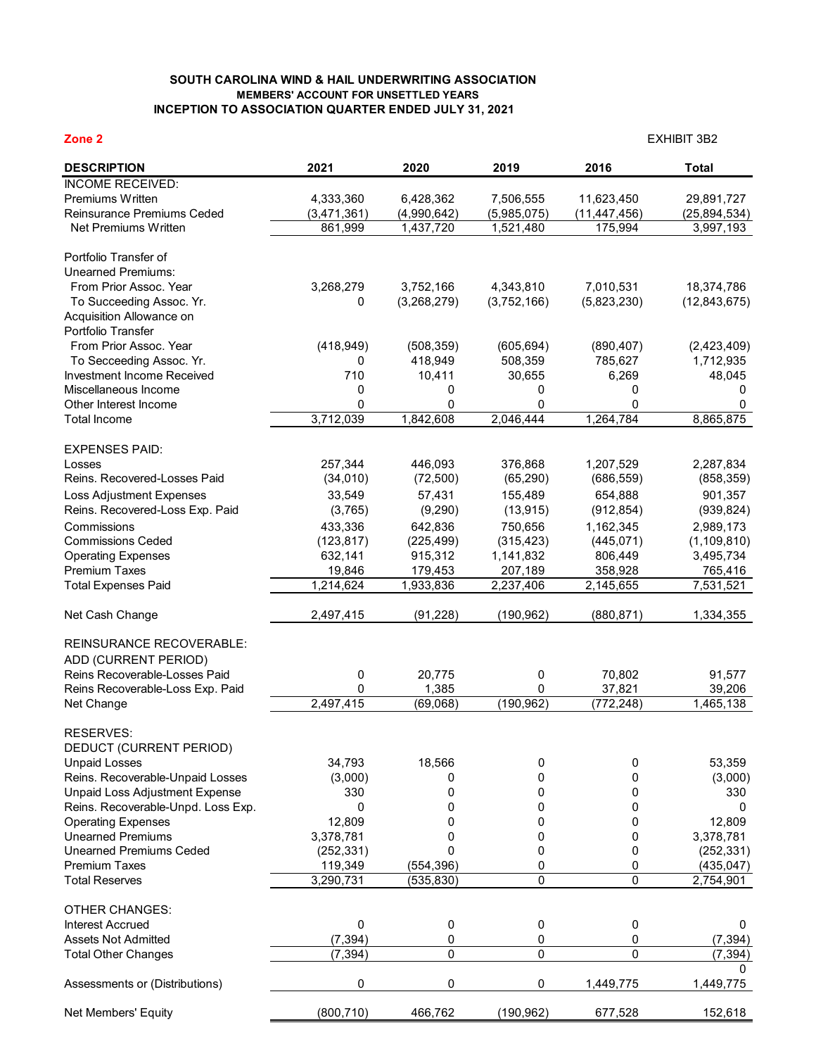## **SOUTH CAROLINA WIND & HAIL UNDERWRITING ASSOCIATION MEMBERS' ACCOUNT FOR UNSETTLED YEARS INCEPTION TO ASSOCIATION QUARTER ENDED JULY 31, 2021**

| Zone <sub>2</sub>                                      |                       |                       |                       | <b>EXHIBIT 3B2</b>    |                          |  |  |
|--------------------------------------------------------|-----------------------|-----------------------|-----------------------|-----------------------|--------------------------|--|--|
| <b>DESCRIPTION</b>                                     | 2021                  | 2020                  | 2019                  | 2016                  | <b>Total</b>             |  |  |
| <b>INCOME RECEIVED:</b>                                |                       |                       |                       |                       |                          |  |  |
| Premiums Written                                       | 4,333,360             | 6,428,362             | 7,506,555             | 11,623,450            | 29,891,727               |  |  |
| Reinsurance Premiums Ceded                             | (3,471,361)           | (4,990,642)           | (5,985,075)           | (11, 447, 456)        | (25, 894, 534)           |  |  |
| Net Premiums Written                                   | 861,999               | 1,437,720             | 1,521,480             | 175,994               | 3,997,193                |  |  |
| Portfolio Transfer of                                  |                       |                       |                       |                       |                          |  |  |
| <b>Unearned Premiums:</b>                              |                       |                       |                       |                       |                          |  |  |
| From Prior Assoc. Year                                 | 3,268,279             | 3,752,166             | 4,343,810             | 7,010,531             | 18,374,786               |  |  |
| To Succeeding Assoc. Yr.                               | 0                     | (3,268,279)           | (3,752,166)           | (5,823,230)           | (12, 843, 675)           |  |  |
| Acquisition Allowance on                               |                       |                       |                       |                       |                          |  |  |
| Portfolio Transfer<br>From Prior Assoc. Year           | (418, 949)            |                       |                       |                       |                          |  |  |
| To Secceeding Assoc. Yr.                               | 0                     | (508, 359)<br>418,949 | (605, 694)<br>508,359 | (890, 407)<br>785,627 | (2,423,409)<br>1,712,935 |  |  |
| Investment Income Received                             | 710                   | 10,411                | 30,655                | 6,269                 | 48,045                   |  |  |
| Miscellaneous Income                                   | 0                     | 0                     | 0                     | 0                     | 0                        |  |  |
| Other Interest Income                                  | 0                     | 0                     | 0                     | $\Omega$              | 0                        |  |  |
| <b>Total Income</b>                                    | 3,712,039             | 1,842,608             | 2,046,444             | 1,264,784             | 8,865,875                |  |  |
|                                                        |                       |                       |                       |                       |                          |  |  |
| <b>EXPENSES PAID:</b><br>Losses                        | 257,344               | 446,093               | 376,868               | 1,207,529             | 2,287,834                |  |  |
| Reins. Recovered-Losses Paid                           | (34, 010)             | (72, 500)             | (65, 290)             | (686, 559)            | (858, 359)               |  |  |
| Loss Adjustment Expenses                               | 33,549                | 57,431                | 155,489               | 654,888               | 901,357                  |  |  |
| Reins. Recovered-Loss Exp. Paid                        | (3,765)               | (9,290)               | (13, 915)             | (912, 854)            | (939, 824)               |  |  |
| Commissions                                            | 433,336               | 642,836               | 750,656               | 1,162,345             | 2,989,173                |  |  |
| <b>Commissions Ceded</b>                               | (123, 817)            | (225, 499)            | (315, 423)            | (445, 071)            | (1, 109, 810)            |  |  |
| <b>Operating Expenses</b>                              | 632,141               | 915,312               | 1,141,832             | 806,449               | 3,495,734                |  |  |
| Premium Taxes                                          | 19,846                | 179,453               | 207,189               | 358,928               | 765,416                  |  |  |
| <b>Total Expenses Paid</b>                             | 1,214,624             | 1,933,836             | 2,237,406             | 2,145,655             | 7,531,521                |  |  |
| Net Cash Change                                        | 2,497,415             | (91, 228)             | (190, 962)            | (880, 871)            | 1,334,355                |  |  |
| <b>REINSURANCE RECOVERABLE:</b>                        |                       |                       |                       |                       |                          |  |  |
| ADD (CURRENT PERIOD)                                   |                       |                       |                       |                       |                          |  |  |
| Reins Recoverable-Losses Paid                          | 0                     | 20,775                | 0                     | 70,802                | 91,577                   |  |  |
| Reins Recoverable-Loss Exp. Paid                       | 0                     | 1,385                 | 0                     | 37,821                | 39,206                   |  |  |
| Net Change                                             | 2,497,415             | (69,068)              | (190, 962)            | (772, 248)            | 1,465,138                |  |  |
| RESERVES:                                              |                       |                       |                       |                       |                          |  |  |
| DEDUCT (CURRENT PERIOD)                                |                       |                       |                       |                       |                          |  |  |
| <b>Unpaid Losses</b>                                   | 34,793                | 18,566                | 0                     | 0                     | 53,359                   |  |  |
| Reins. Recoverable-Unpaid Losses                       | (3,000)               | 0                     | 0                     | 0                     | (3,000)                  |  |  |
| Unpaid Loss Adjustment Expense                         | 330                   | 0                     | 0                     | 0                     | 330                      |  |  |
| Reins. Recoverable-Unpd. Loss Exp.                     | 0                     | 0                     | 0                     | 0                     | 0                        |  |  |
| <b>Operating Expenses</b>                              | 12,809                | 0                     | 0                     | 0                     | 12,809                   |  |  |
| <b>Unearned Premiums</b>                               | 3,378,781             | 0                     | 0                     | 0                     | 3,378,781                |  |  |
| <b>Unearned Premiums Ceded</b><br><b>Premium Taxes</b> | (252, 331)<br>119,349 | 0<br>(554, 396)       | 0<br>0                | 0<br>0                | (252, 331)<br>(435, 047) |  |  |
| <b>Total Reserves</b>                                  | 3,290,731             | (535, 830)            | 0                     | 0                     | 2,754,901                |  |  |
|                                                        |                       |                       |                       |                       |                          |  |  |
| <b>OTHER CHANGES:</b>                                  |                       |                       |                       |                       |                          |  |  |
| <b>Interest Accrued</b>                                | 0                     | 0                     | 0                     | 0                     | 0                        |  |  |
| <b>Assets Not Admitted</b>                             | (7, 394)              | 0                     | 0                     | 0                     | (7, 394)                 |  |  |
| <b>Total Other Changes</b>                             | (7, 394)              | 0                     | 0                     | 0                     | (7, 394)<br>0            |  |  |
| Assessments or (Distributions)                         | 0                     | 0                     | 0                     | 1,449,775             | 1,449,775                |  |  |
| Net Members' Equity                                    | (800, 710)            | 466,762               | (190, 962)            | 677,528               | 152,618                  |  |  |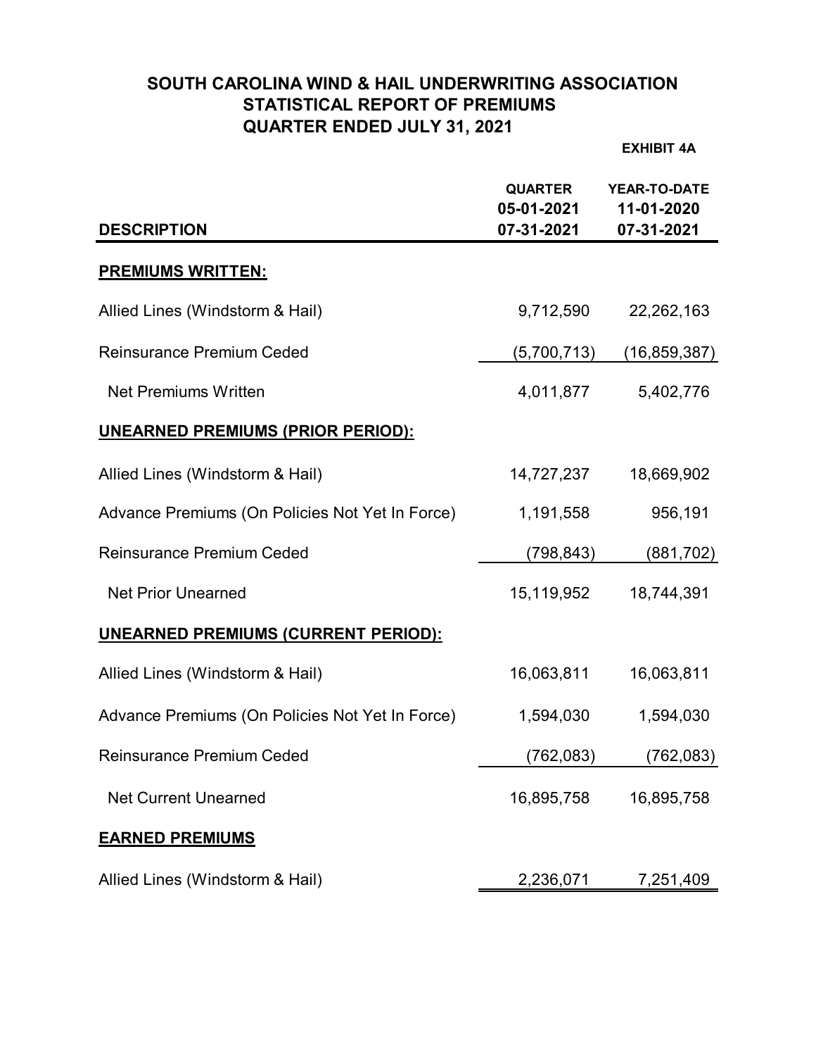# **SOUTH CAROLINA WIND & HAIL UNDERWRITING ASSOCIATION STATISTICAL REPORT OF PREMIUMS QUARTER ENDED JULY 31, 2021**

**EXHIBIT 4A**

| <b>DESCRIPTION</b>                              | <b>QUARTER</b><br>05-01-2021<br>07-31-2021 | <b>YEAR-TO-DATE</b><br>11-01-2020<br>07-31-2021 |
|-------------------------------------------------|--------------------------------------------|-------------------------------------------------|
| <b>PREMIUMS WRITTEN:</b>                        |                                            |                                                 |
| Allied Lines (Windstorm & Hail)                 | 9,712,590                                  | 22,262,163                                      |
| <b>Reinsurance Premium Ceded</b>                | (5,700,713)                                | (16, 859, 387)                                  |
| <b>Net Premiums Written</b>                     | 4,011,877                                  | 5,402,776                                       |
| <u>UNEARNED PREMIUMS (PRIOR PERIOD):</u>        |                                            |                                                 |
| Allied Lines (Windstorm & Hail)                 | 14,727,237                                 | 18,669,902                                      |
| Advance Premiums (On Policies Not Yet In Force) | 1,191,558                                  | 956,191                                         |
| <b>Reinsurance Premium Ceded</b>                | (798, 843)                                 | (881, 702)                                      |
| <b>Net Prior Unearned</b>                       | 15,119,952                                 | 18,744,391                                      |
| <b>UNEARNED PREMIUMS (CURRENT PERIOD):</b>      |                                            |                                                 |
| Allied Lines (Windstorm & Hail)                 | 16,063,811                                 | 16,063,811                                      |
| Advance Premiums (On Policies Not Yet In Force) | 1,594,030                                  | 1,594,030                                       |
| <b>Reinsurance Premium Ceded</b>                | (762, 083)                                 | (762, 083)                                      |
| <b>Net Current Unearned</b>                     | 16,895,758                                 | 16,895,758                                      |
| <b>EARNED PREMIUMS</b>                          |                                            |                                                 |
| Allied Lines (Windstorm & Hail)                 | 2,236,071                                  | 7,251,409                                       |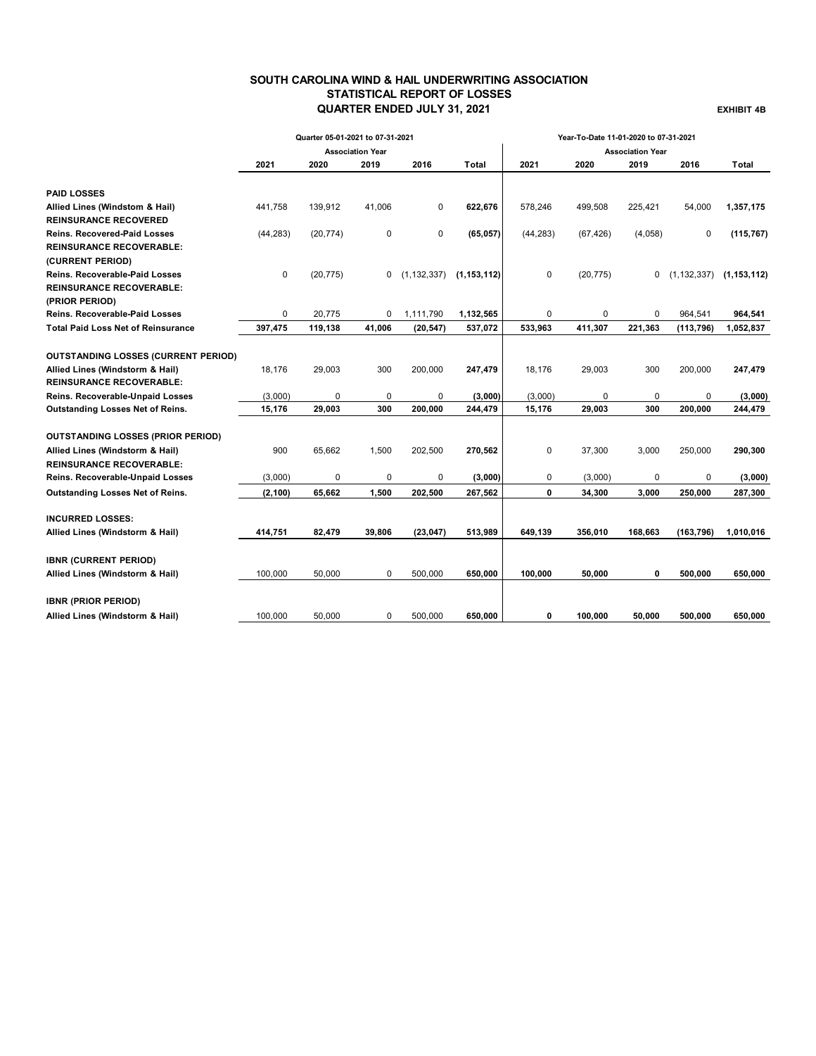## **SOUTH CAROLINA WIND & HAIL UNDERWRITING ASSOCIATION STATISTICAL REPORT OF LOSSES QUARTER ENDED JULY 31, 2021 EXHIBIT 4B**

|                                            |             | Quarter 05-01-2021 to 07-31-2021 |                         |               | Year-To-Date 11-01-2020 to 07-31-2021 |             |           |                         |            |                                 |
|--------------------------------------------|-------------|----------------------------------|-------------------------|---------------|---------------------------------------|-------------|-----------|-------------------------|------------|---------------------------------|
|                                            |             |                                  | <b>Association Year</b> |               |                                       |             |           | <b>Association Year</b> |            |                                 |
|                                            | 2021        | 2020                             | 2019                    | 2016          | Total                                 | 2021        | 2020      | 2019                    | 2016       | Total                           |
| <b>PAID LOSSES</b>                         |             |                                  |                         |               |                                       |             |           |                         |            |                                 |
| Allied Lines (Windstom & Hail)             | 441,758     | 139,912                          | 41,006                  | 0             | 622,676                               | 578,246     | 499,508   | 225,421                 | 54,000     | 1,357,175                       |
| <b>REINSURANCE RECOVERED</b>               |             |                                  |                         |               |                                       |             |           |                         |            |                                 |
| <b>Reins. Recovered-Paid Losses</b>        | (44, 283)   | (20, 774)                        | 0                       | 0             | (65, 057)                             | (44, 283)   | (67, 426) | (4,058)                 | 0          | (115, 767)                      |
| <b>REINSURANCE RECOVERABLE:</b>            |             |                                  |                         |               |                                       |             |           |                         |            |                                 |
| (CURRENT PERIOD)                           |             |                                  |                         |               |                                       |             |           |                         |            |                                 |
| <b>Reins. Recoverable-Paid Losses</b>      | 0           | (20, 775)                        | 0                       | (1, 132, 337) | (1, 153, 112)                         | $\mathbf 0$ | (20, 775) | 0                       |            | $(1, 132, 337)$ $(1, 153, 112)$ |
| <b>REINSURANCE RECOVERABLE:</b>            |             |                                  |                         |               |                                       |             |           |                         |            |                                 |
| (PRIOR PERIOD)                             |             |                                  |                         |               |                                       |             |           |                         |            |                                 |
| <b>Reins. Recoverable-Paid Losses</b>      | $\mathbf 0$ | 20.775                           | 0                       | 1,111,790     | 1,132,565                             | 0           | $\Omega$  | $\Omega$                | 964.541    | 964,541                         |
| <b>Total Paid Loss Net of Reinsurance</b>  | 397,475     | 119,138                          | 41,006                  | (20, 547)     | 537,072                               | 533,963     | 411,307   | 221,363                 | (113, 796) | 1,052,837                       |
|                                            |             |                                  |                         |               |                                       |             |           |                         |            |                                 |
| <b>OUTSTANDING LOSSES (CURRENT PERIOD)</b> |             |                                  |                         |               |                                       |             |           |                         |            |                                 |
| Allied Lines (Windstorm & Hail)            | 18,176      | 29,003                           | 300                     | 200,000       | 247,479                               | 18,176      | 29,003    | 300                     | 200,000    | 247,479                         |
| <b>REINSURANCE RECOVERABLE:</b>            |             |                                  |                         |               |                                       |             |           |                         |            |                                 |
| Reins. Recoverable-Unpaid Losses           | (3,000)     | 0                                | 0                       | 0             | (3,000)                               | (3,000)     | 0         | 0                       | 0          | (3,000)                         |
| Outstanding Losses Net of Reins.           | 15,176      | 29,003                           | 300                     | 200,000       | 244,479                               | 15,176      | 29,003    | 300                     | 200,000    | 244,479                         |
| <b>OUTSTANDING LOSSES (PRIOR PERIOD)</b>   |             |                                  |                         |               |                                       |             |           |                         |            |                                 |
| Allied Lines (Windstorm & Hail)            | 900         | 65,662                           | 1,500                   | 202,500       | 270,562                               | 0           | 37,300    | 3,000                   | 250,000    | 290,300                         |
| <b>REINSURANCE RECOVERABLE:</b>            |             |                                  |                         |               |                                       |             |           |                         |            |                                 |
| Reins. Recoverable-Unpaid Losses           | (3,000)     | $\mathbf 0$                      | 0                       | 0             | (3,000)                               | 0           | (3,000)   | 0                       | 0          | (3,000)                         |
| Outstanding Losses Net of Reins.           | (2, 100)    | 65,662                           | 1,500                   | 202,500       | 267,562                               | 0           | 34,300    | 3,000                   | 250,000    | 287,300                         |
|                                            |             |                                  |                         |               |                                       |             |           |                         |            |                                 |
| <b>INCURRED LOSSES:</b>                    |             |                                  |                         |               |                                       |             |           |                         |            |                                 |
| Allied Lines (Windstorm & Hail)            | 414,751     | 82,479                           | 39,806                  | (23, 047)     | 513,989                               | 649,139     | 356,010   | 168,663                 | (163, 796) | 1,010,016                       |
| <b>IBNR (CURRENT PERIOD)</b>               |             |                                  |                         |               |                                       |             |           |                         |            |                                 |
| Allied Lines (Windstorm & Hail)            | 100.000     | 50.000                           | $\mathbf 0$             | 500,000       | 650,000                               | 100,000     | 50,000    | 0                       | 500,000    | 650,000                         |
|                                            |             |                                  |                         |               |                                       |             |           |                         |            |                                 |
| <b>IBNR (PRIOR PERIOD)</b>                 |             |                                  |                         |               |                                       |             |           |                         |            |                                 |
| Allied Lines (Windstorm & Hail)            | 100,000     | 50,000                           | 0                       | 500,000       | 650,000                               | 0           | 100.000   | 50,000                  | 500,000    | 650,000                         |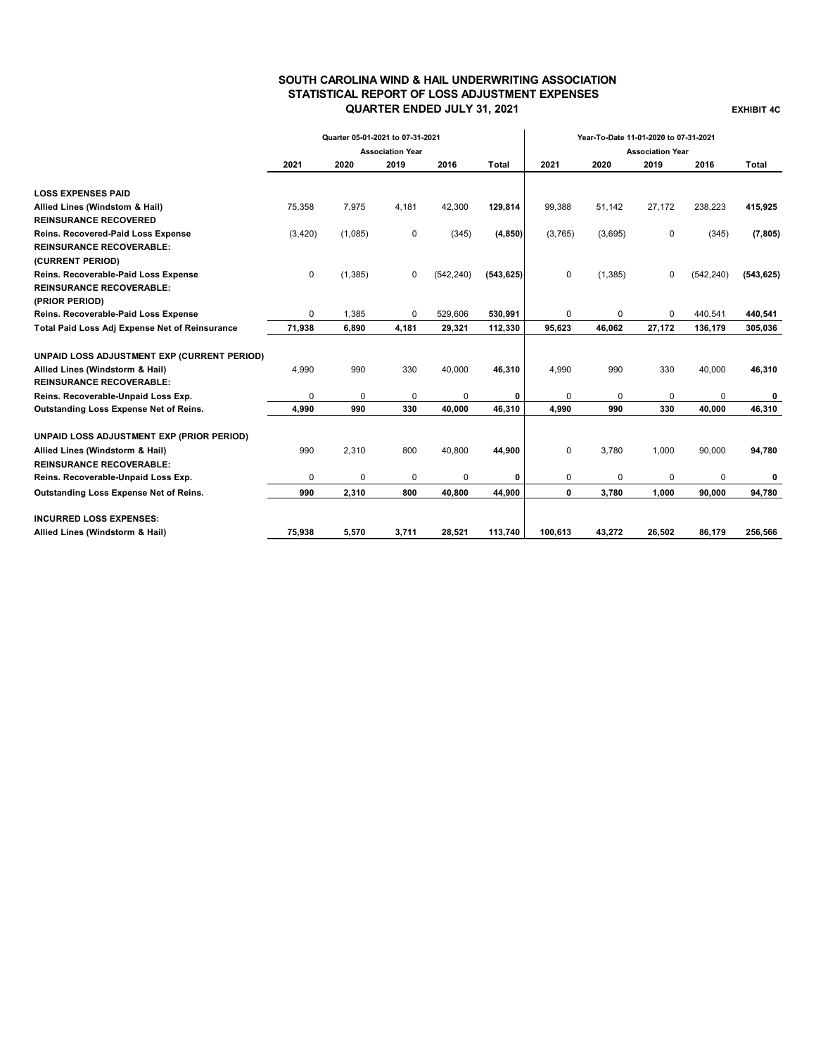## **SOUTH CAROLINA WIND & HAIL UNDERWRITING ASSOCIATION STATISTICAL REPORT OF LOSS ADJUSTMENT EXPENSES QUARTER ENDED JULY 31, 2021 EXHIBIT 4C**

|                                                | Quarter 05-01-2021 to 07-31-2021 |          |                         |            |            | Year-To-Date 11-01-2020 to 07-31-2021 |          |                         |            |            |
|------------------------------------------------|----------------------------------|----------|-------------------------|------------|------------|---------------------------------------|----------|-------------------------|------------|------------|
|                                                |                                  |          | <b>Association Year</b> |            |            |                                       |          | <b>Association Year</b> |            |            |
|                                                | 2021                             | 2020     | 2019                    | 2016       | Total      | 2021                                  | 2020     | 2019                    | 2016       | Total      |
| <b>LOSS EXPENSES PAID</b>                      |                                  |          |                         |            |            |                                       |          |                         |            |            |
| Allied Lines (Windstom & Hail)                 | 75,358                           | 7,975    | 4,181                   | 42,300     | 129,814    | 99,388                                | 51,142   | 27,172                  | 238,223    | 415,925    |
| <b>REINSURANCE RECOVERED</b>                   |                                  |          |                         |            |            |                                       |          |                         |            |            |
| Reins. Recovered-Paid Loss Expense             | (3, 420)                         | (1,085)  | 0                       | (345)      | (4, 850)   | (3,765)                               | (3,695)  | 0                       | (345)      | (7, 805)   |
| <b>REINSURANCE RECOVERABLE:</b>                |                                  |          |                         |            |            |                                       |          |                         |            |            |
| (CURRENT PERIOD)                               |                                  |          |                         |            |            |                                       |          |                         |            |            |
| Reins. Recoverable-Paid Loss Expense           | 0                                | (1, 385) | 0                       | (542, 240) | (543, 625) | $\mathbf 0$                           | (1, 385) | $\mathbf 0$             | (542, 240) | (543, 625) |
| <b>REINSURANCE RECOVERABLE:</b>                |                                  |          |                         |            |            |                                       |          |                         |            |            |
| (PRIOR PERIOD)                                 |                                  |          |                         |            |            |                                       |          |                         |            |            |
| Reins. Recoverable-Paid Loss Expense           | $\Omega$                         | 1,385    | 0                       | 529,606    | 530,991    | 0                                     | 0        | $\Omega$                | 440,541    | 440,541    |
| Total Paid Loss Adj Expense Net of Reinsurance | 71,938                           | 6,890    | 4,181                   | 29,321     | 112,330    | 95,623                                | 46.062   | 27,172                  | 136,179    | 305,036    |
| UNPAID LOSS ADJUSTMENT EXP (CURRENT PERIOD)    |                                  |          |                         |            |            |                                       |          |                         |            |            |
| Allied Lines (Windstorm & Hail)                | 4,990                            | 990      | 330                     | 40,000     | 46,310     | 4,990                                 | 990      | 330                     | 40,000     | 46,310     |
| <b>REINSURANCE RECOVERABLE:</b>                |                                  |          |                         |            |            |                                       |          |                         |            |            |
| Reins. Recoverable-Unpaid Loss Exp.            | 0                                | 0        | 0                       | 0          | 0          | 0                                     | 0        | 0                       | $\Omega$   | 0          |
| Outstanding Loss Expense Net of Reins.         | 4,990                            | 990      | 330                     | 40,000     | 46,310     | 4,990                                 | 990      | 330                     | 40.000     | 46.310     |
| UNPAID LOSS ADJUSTMENT EXP (PRIOR PERIOD)      |                                  |          |                         |            |            |                                       |          |                         |            |            |
| Allied Lines (Windstorm & Hail)                | 990                              | 2,310    | 800                     | 40,800     | 44,900     | $\mathbf 0$                           | 3,780    | 1,000                   | 90,000     | 94,780     |
| <b>REINSURANCE RECOVERABLE:</b>                |                                  |          |                         |            |            |                                       |          |                         |            |            |
| Reins. Recoverable-Unpaid Loss Exp.            | 0                                | $\Omega$ | 0                       | 0          | 0          | 0                                     | 0        | $\Omega$                | 0          | 0          |
| Outstanding Loss Expense Net of Reins.         | 990                              | 2,310    | 800                     | 40,800     | 44,900     | 0                                     | 3,780    | 1,000                   | 90,000     | 94,780     |
| <b>INCURRED LOSS EXPENSES:</b>                 |                                  |          |                         |            |            |                                       |          |                         |            |            |
| Allied Lines (Windstorm & Hail)                | 75,938                           | 5,570    | 3,711                   | 28,521     | 113,740    | 100,613                               | 43,272   | 26,502                  | 86,179     | 256,566    |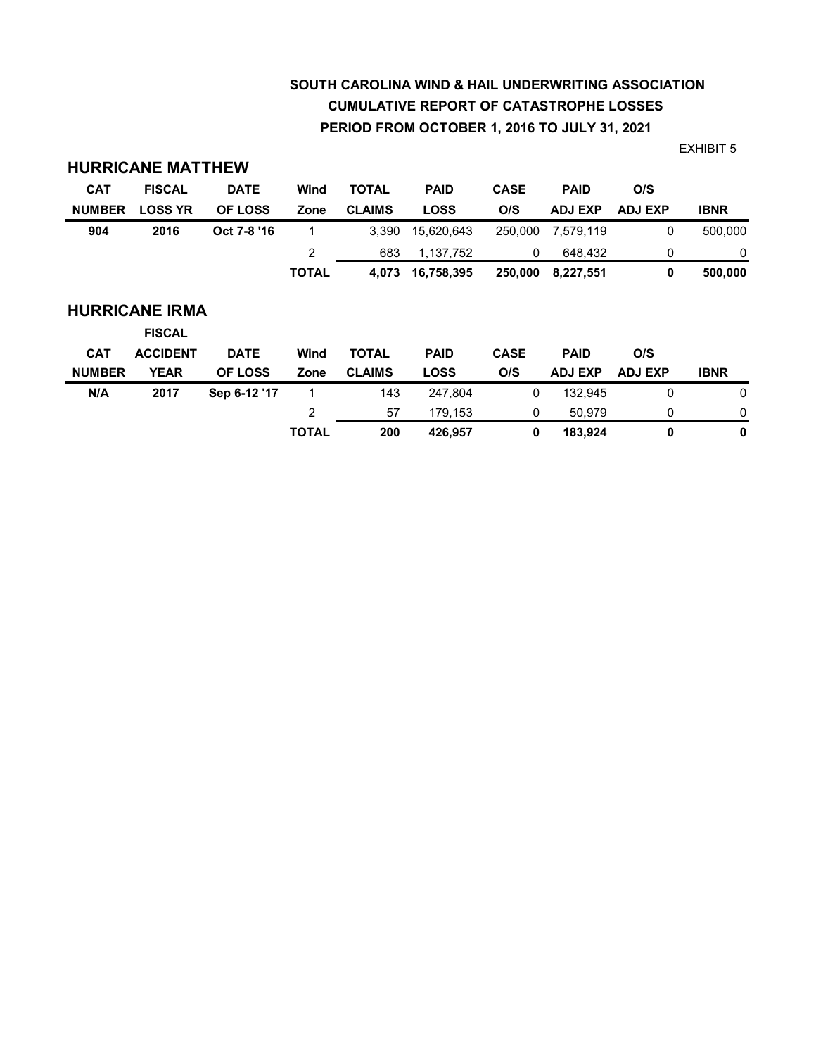# **SOUTH CAROLINA WIND & HAIL UNDERWRITING ASSOCIATION CUMULATIVE REPORT OF CATASTROPHE LOSSES PERIOD FROM OCTOBER 1, 2016 TO JULY 31, 2021**

EXHIBIT 5

| <b>CAT</b>    | <b>FISCAL</b>                          | <b>DATE</b>    | Wind         | <b>TOTAL</b>  | <b>PAID</b> | <b>CASE</b> | <b>PAID</b>    | O/S            |             |
|---------------|----------------------------------------|----------------|--------------|---------------|-------------|-------------|----------------|----------------|-------------|
| <b>NUMBER</b> | <b>LOSS YR</b>                         | <b>OF LOSS</b> | Zone         | <b>CLAIMS</b> | <b>LOSS</b> | O/S         | <b>ADJ EXP</b> | <b>ADJ EXP</b> | <b>IBNR</b> |
| 904           | 2016                                   | Oct 7-8 '16    |              | 3,390         | 15,620,643  | 250,000     | 7,579,119      | 0              | 500,000     |
|               |                                        |                | 2            | 683           | 1,137,752   | 0           | 648,432        | 0              | 0           |
|               |                                        |                | <b>TOTAL</b> | 4,073         | 16,758,395  | 250,000     | 8,227,551      | 0              | 500,000     |
|               | <b>HURRICANE IRMA</b><br><b>FISCAL</b> |                |              |               |             |             |                |                |             |
| <b>CAT</b>    | <b>ACCIDENT</b>                        | <b>DATE</b>    | Wind         | <b>TOTAL</b>  | <b>PAID</b> | <b>CASE</b> | <b>PAID</b>    | O/S            |             |
| <b>NUMBER</b> | <b>YEAR</b>                            | <b>OF LOSS</b> | Zone         | <b>CLAIMS</b> | <b>LOSS</b> | O/S         | <b>ADJ EXP</b> | <b>ADJ EXP</b> | <b>IBNR</b> |
| N/A           | 2017                                   | Sep 6-12 '17   | 1            | 143           | 247,804     | 0           | 132.945        | 0              | 0           |
|               |                                        |                | 2            | 57            | 179,153     | 0           | 50,979         | 0              | 0           |
|               |                                        |                | <b>TOTAL</b> | 200           | 426,957     | 0           | 183,924        | 0              | 0           |

**HURRICANE MATTHEW**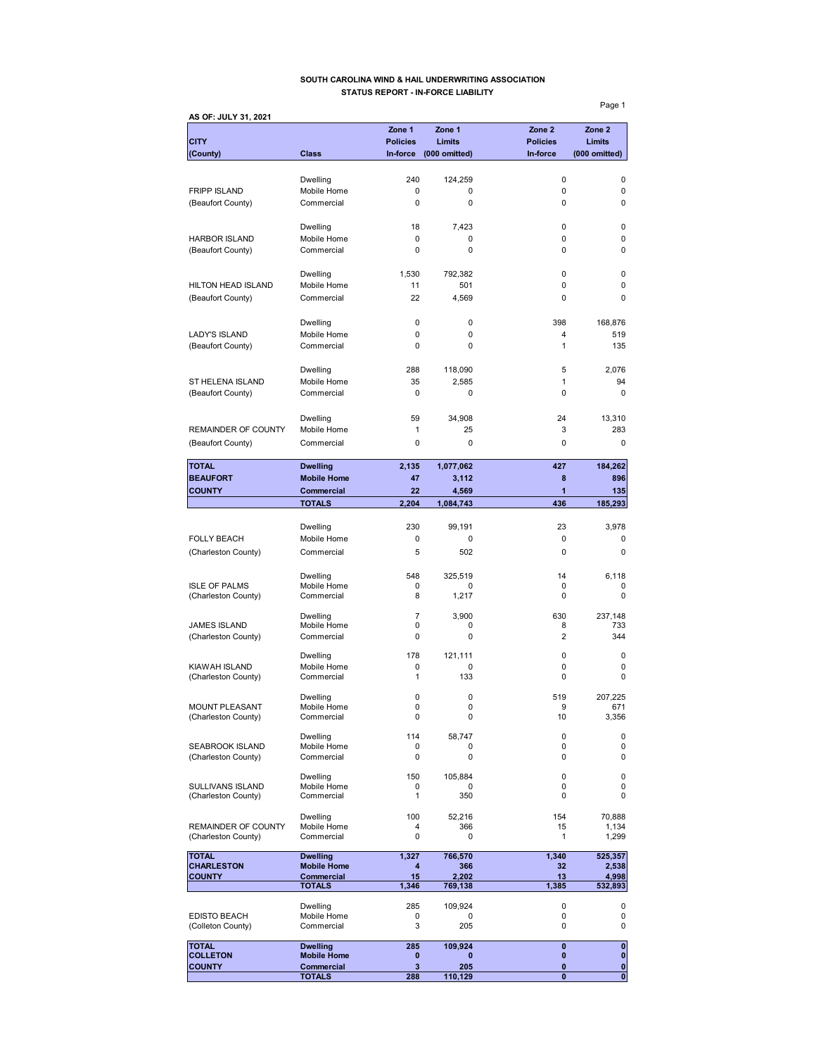#### **SOUTH CAROLINA WIND & HAIL UNDERWRITING ASSOCIATION STATUS REPORT - IN-FORCE LIABILITY**

**AS OF: JULY 31, 2021 Zone 1 Zone 1 Zone 2 Zone 2 CITY Policies Limits Policies Limits (County) Class In-force (000 omitted) In-force (000 omitted)** Dwelling 240 124,259 0 0 FRIPP ISLAND Mobile Home 0 0 0 0 (Beaufort County) Commercial 0 0 0 0 Dwelling 18 7,423 0 0 HARBOR ISLAND Mobile Home 0 0 0 0 (Beaufort County) Commercial 0 0 0 Dwelling 1,530 792,382 0 0 HILTON HEAD ISLAND Mobile Home 11 501 0 0 0 (Beaufort County) Commercial 22 4,569 0 0 Dwelling 0 0 398 168,876 LADY'S ISLAND Mobile Home 0 0 0 4 519<br>
(Beaufort County) Commercial 0 0 0 1 1 135 (Beaufort County) Commercial 0 0 0 1 Dwelling 288 118,090 5 2,076 ST HELENA ISLAND Mobile Home 35 2,585 1 94 (Beaufort County) Commercial 0 0 0 0 Dwelling 59 34,908 24 13,310 REMAINDER OF COUNTY Mobile Home  $\begin{array}{cccc} 1 & 25 & 3 & 283 \end{array}$ (Beaufort County) Commercial 0 0 0 0 **TOTAL Dwelling 2,135 1,077,062 427 184,262 BEAUFORT** Mobile Home **47** 3,112 8 896 **COUNTY Commercial 22 4,569 1 135 TOTALS 2,204 1,084,743 436 185,293** Dwelling 230 99,191 23 3,978 FOLLY BEACH Mobile Home 0 0 0 0 0 0 0 0 (Charleston County) Commercial 5 502 0 0 0 0 Dwelling 6,118 548 325,519 14 6,118 ISLE OF PALMS Mobile Home 0 0 0 0 (Charleston County) Commercial 8 1,217 0 0 0 Dwelling 7 3,900 630 237,148 JAMES ISLAND Mobile Home 0 0 8 733 (Charleston County) Commercial 0 0 0 2 344 Dwelling 178 121,111 0 0 KIAWAH ISLAND Mobile Home 0 0 0 0 (Charleston County) Commercial 1 133 0 0 0 Dwelling 0 0 519 207,225 MOUNT PLEASANT Mobile Home 0 0 0 9 671<br>(Charleston County) Commercial 0 0 0 10 3,356 (Charleston County) Dwelling 114 58,747 0 0 SEABROOK ISLAND Mobile Home 0 0 0 0 0 0<br>
(Charleston County) Commercial 0 0 0 0 0 (Charleston County) Dwelling 150 105,884 0 0 SULLIVANS ISLAND Mobile Home 0 0 0 0 (Charleston County) Dwelling 100 52,216 154 70,888 REMAINDER OF COUNTY Mobile Home  $\begin{array}{cccc} 4 & 366 & 15 & 1,134 \\ 4 & 366 & 15 & 1,134 \\ \text{(Charleston County)} & \text{Commercial} & 0 & 0 & 1 & 1,299 \end{array}$ (Charleston County) TOTAL **Dwelling 1,327 766,570 1,340 525,357**<br>CHARLESTON Mobile Home 4 366 32 2,538 CHARLESTON Mobile Home **4** 366 32 2,538<br>
COUNTY Commercial 15 2,202 13 4,998 **COUNTY Commercial 15 2,202 13 4,998 TOTALS 1,346 769,138 1,385 532,893** Dwelling 285 109,924 0 0 EDISTO BEACH Mobile Home  $\begin{array}{cccccccc}\n\text{CDISTO} & \text{BEACH} & \text{Mobile Home} & & & & 0 & & 0 & 0 \\
\text{Colleton County)} & \text{Commercial} & & 3 & 205 & 0 & 0\n\end{array}$ (Colleton County) **TOTAL Dwelling 285 109,924 0 0**

**COLLETON Mobile Home 0 0 0 0 COUNTY Commercial 3 205 0** 0

**TOTALS 288 110,129 0 0**

Page 1